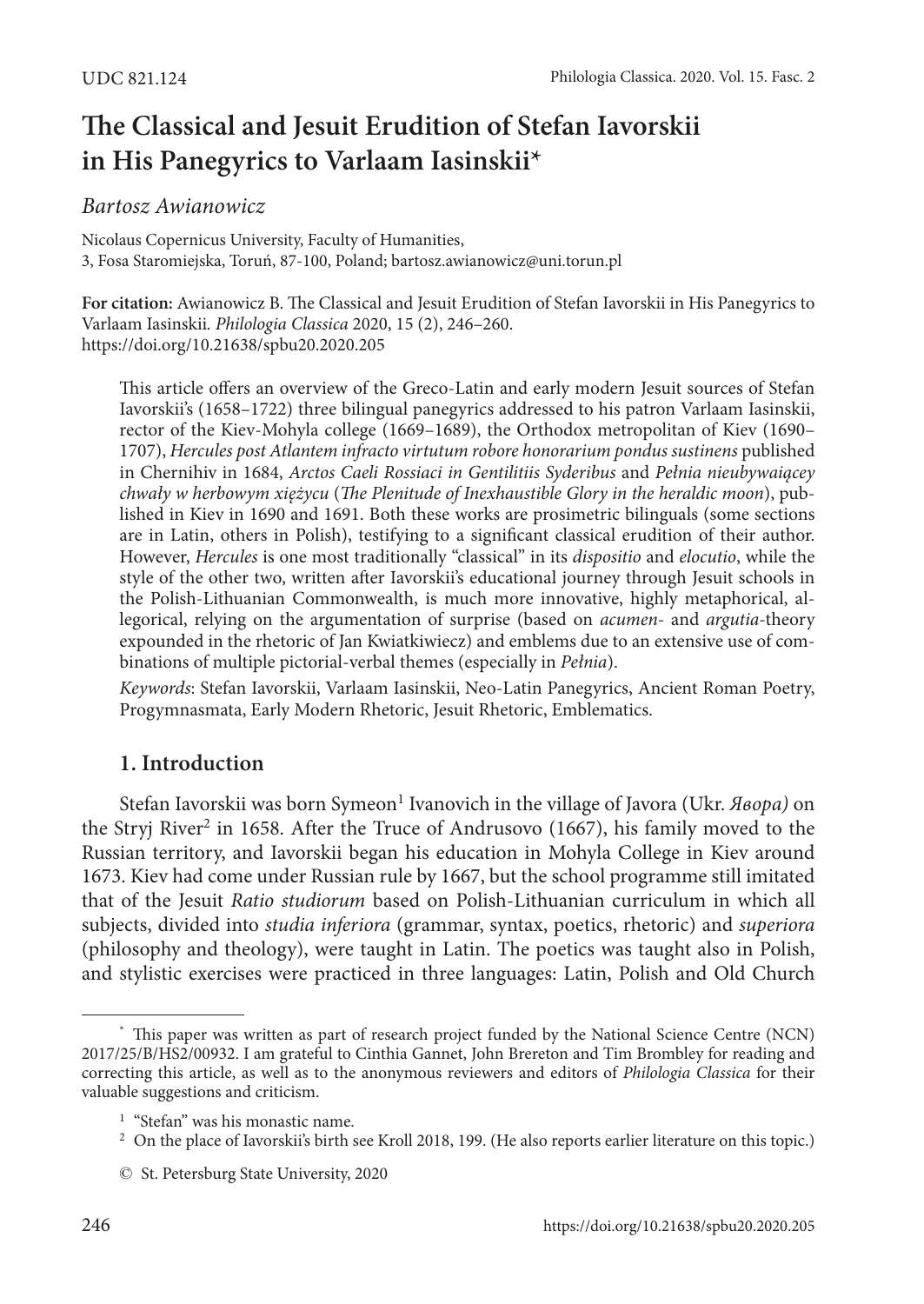# **The Classical and Jesuit Erudition of Stefan Iavorskii in His Panegyrics to Varlaam Iasinskii\***

### *Bartosz Awianowicz*

Nicolaus Copernicus University, Faculty of Humanities, 3, Fosa Staromiejska, Toruń, 87-100, Poland; bartosz.awianowicz@uni.torun.pl

**For citation:** Awianowicz B. The Classical and Jesuit Erudition of Stefan Iavorskii in His Panegyrics to Varlaam Iasinskii*. Philologia Classica* 2020, 15 (2), 246–260. <https://doi.org/10.21638/spbu20.2020.205>

This article offers an overview of the Greco-Latin and early modern Jesuit sources of Stefan Iavorskii's (1658–1722) three bilingual panegyrics addressed to his patron Varlaam Iasinskii, rector of the Kiev-Mohyla college (1669–1689), the Orthodox metropolitan of Kiev (1690– 1707), *Hercules post Atlantem infracto virtutum robore honorarium pondus sustinens* published in Chernihiv in 1684, *Arctos Caeli Rossiaci in Gentilitiis Syderibus* and *Pełnia nieubywaiącey chwały w herbowym xiężycu* (*The Plenitude of Inexhaustible Glory in the heraldic moon*), published in Kiev in 1690 and 1691. Both these works are prosimetric bilinguals (some sections are in Latin, others in Polish), testifying to a significant classical erudition of their author. However, *Hercules* is one most traditionally "classical" in its *dispositio* and *elocutio*, while the style of the other two, written after Iavorskii's educational journey through Jesuit schools in the Polish-Lithuanian Commonwealth, is much more innovative, highly metaphorical, allegorical, relying on the argumentation of surprise (based on *acumen-* and *argutia-*theory expounded in the rhetoric of Jan Kwiatkiwiecz) and emblems due to an extensive use of combinations of multiple pictorial-verbal themes (especially in *Pełnia*).

*Keywords*: Stefan Iavorskii, Varlaam Iasinskii, Neo-Latin Panegyrics, Ancient Roman Poetry, Progymnasmata, Early Modern Rhetoric, Jesuit Rhetoric, Emblematics.

## **1. Introduction**

Stefan Iavorskii was born Symeon<sup>1</sup> Ivanovich in the village of Javora (Ukr. *Явора)* on the Stryj River<sup>2</sup> in 1658. After the Truce of Andrusovo (1667), his family moved to the Russian territory, and Iavorskii began his education in Mohyla College in Kiev around 1673. Kiev had come under Russian rule by 1667, but the school programme still imitated that of the Jesuit *Ratio studiorum* based on Polish-Lithuanian curriculum in which all subjects, divided into *studia inferiora* (grammar, syntax, poetics, rhetoric) and *superiora*  (philosophy and theology), were taught in Latin. The poetics was taught also in Polish, and stylistic exercises were practiced in three languages: Latin, Polish and Old Church

<sup>\*</sup> This paper was written as part of research project funded by the National Science Centre (NCN) 2017/25/B/HS2/00932. I am grateful to Cinthia Gannet, John Brereton and Tim Brombley for reading and correcting this article, as well as to the anonymous reviewers and editors of *Philologia Classica* for their valuable suggestions and criticism.

<sup>&</sup>lt;sup>1</sup> "Stefan" was his monastic name.

<sup>&</sup>lt;sup>2</sup> On the place of Iavorskii's birth see Kroll 2018, 199. (He also reports earlier literature on this topic.)

<sup>©</sup> St. Petersburg State University, 2020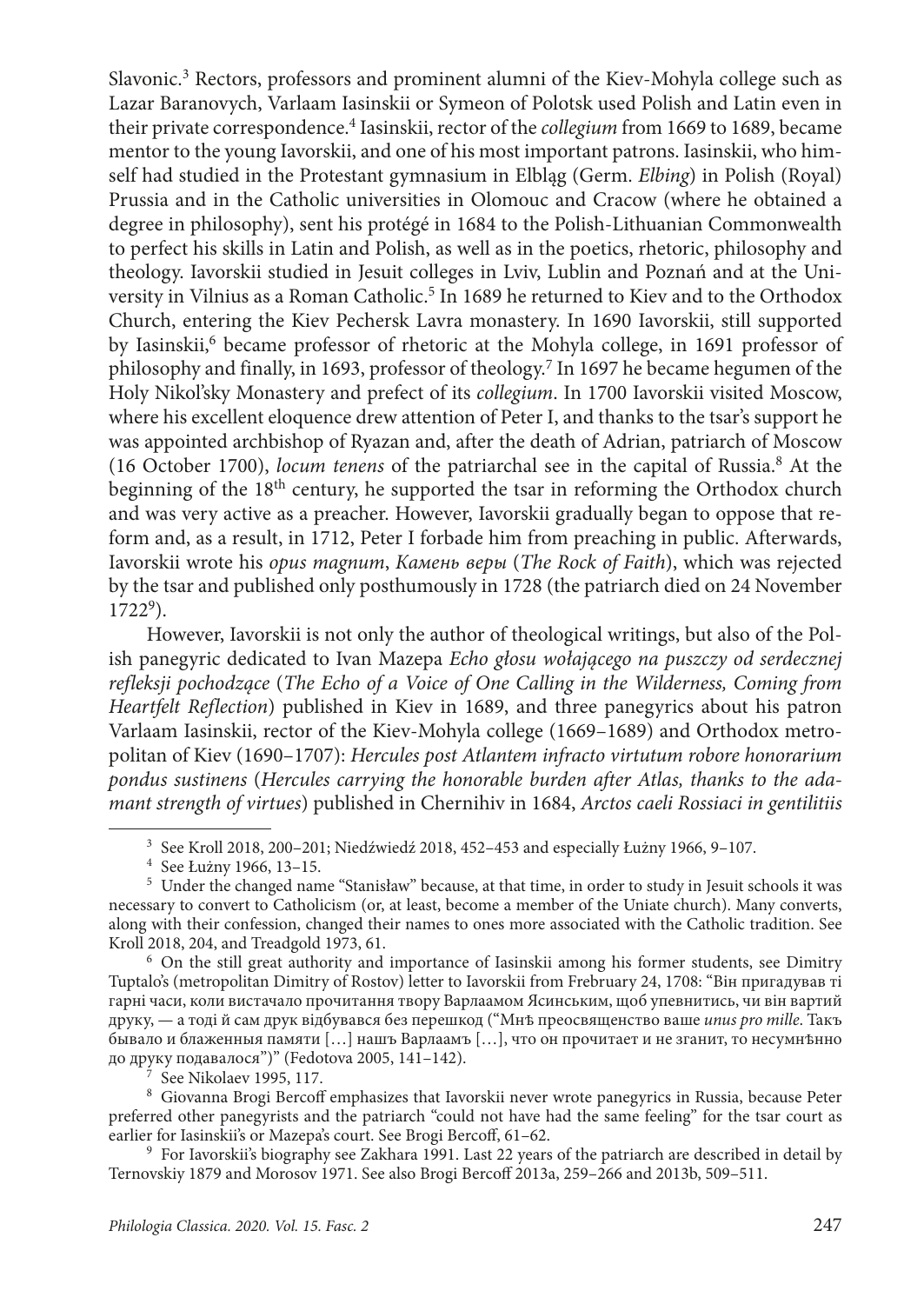Slavonic.<sup>3</sup> Rectors, professors and prominent alumni of the Kiev-Mohyla college such as Lazar Baranovych, Varlaam Iasinskii or Symeon of Polotsk used Polish and Latin even in their private correspondence.4 Iasinskii, rector of the *collegium* from 1669 to 1689, became mentor to the young Iavorskii, and one of his most important patrons. Iasinskii, who himself had studied in the Protestant gymnasium in Elbląg (Germ. *Elbing*) in Polish (Royal) Prussia and in the Catholic universities in Olomouc and Cracow (where he obtained a degree in philosophy), sent his protégé in 1684 to the Polish-Lithuanian Commonwealth to perfect his skills in Latin and Polish, as well as in the poetics, rhetoric, philosophy and theology. Iavorskii studied in Jesuit colleges in Lviv, Lublin and Poznań and at the University in Vilnius as a Roman Catholic.<sup>5</sup> In 1689 he returned to Kiev and to the Orthodox Church, entering the Kiev Pechersk Lavra monastery. In 1690 Iavorskii, still supported by Iasinskii,<sup>6</sup> became professor of rhetoric at the Mohyla college, in 1691 professor of philosophy and finally, in 1693, professor of theology.7 In 1697 he became hegumen of the Holy Nikol'sky Monastery and prefect of its *collegium*. In 1700 Iavorskii visited Moscow, where his excellent eloquence drew attention of Peter I, and thanks to the tsar's support he was appointed archbishop of Ryazan and, after the death of Adrian, patriarch of Moscow (16 October 1700), *locum tenens* of the patriarchal see in the capital of Russia.8 At the beginning of the 18<sup>th</sup> century, he supported the tsar in reforming the Orthodox church and was very active as a preacher. However, Iavorskii gradually began to oppose that reform and, as a result, in 1712, Peter I forbade him from preaching in public. Afterwards, Iavorskii wrote his *opus magnum*, *Камень веры* (*The Rock of Faith*), which was rejected by the tsar and published only posthumously in 1728 (the patriarch died on 24 November  $1722^9$ ).

However, Iavorskii is not only the author of theological writings, but also of the Polish panegyric dedicated to Ivan Mazepa *Echo głosu wołającego na puszczy od serdecznej refleksji pochodzące* (*The Echo of a Voice of One Calling in the Wilderness, Coming from Heartfelt Reflection*) published in Kiev in 1689, and three panegyrics about his patron Varlaam Iasinskii, rector of the Kiev-Mohyla college (1669–1689) and Orthodox metropolitan of Kiev (1690–1707): *Hercules post Atlantem infracto virtutum robore honorarium pondus sustinens* (*Hercules carrying the honorable burden after Atlas, thanks to the adamant strength of virtues*) published in Chernihiv in 1684, *Arctos caeli Rossiaci in gentilitiis* 

<sup>6</sup> On the still great authority and importance of Iasinskii among his former students, see Dimitry Tuptalo's (metropolitan Dimitry of Rostov) letter to Iavorskii from Frebruary 24, 1708: "Він пригадував ті гарні часи, коли вистачало прочитання твору Варлаамом Ясинським, щоб упевнитись, чи він вартий друку, — а тоді й сам друк відбувався без перешкод ("Мнѣ преосвященство ваше *unus pro mille*. Такъ бывало и блаженныя памяти […] нашъ Варлаамъ […], что он прочитает и не зганит, то несумнѣнно до друку подавалося")" (Fedotova 2005, 141–142).

See Nikolaev 1995, 117.

<sup>8</sup> Giovanna Brogi Bercoff emphasizes that Iavorskii never wrote panegyrics in Russia, because Peter preferred other panegyrists and the patriarch "could not have had the same feeling" for the tsar court as earlier for Iasinskii's or Mazepa's court. See Brogi Bercoff, 61–62.

<sup>9</sup> For Iavorskii's biography see Zakhara 1991. Last 22 years of the patriarch are described in detail by Ternovskiy 1879 and Morosov 1971. See also Brogi Bercoff 2013a, 259–266 and 2013b, 509–511.

<sup>3</sup> See Kroll 2018, 200–201; Niedźwiedź 2018, 452–453 and especially Łużny 1966, 9–107.

<sup>4</sup> See Łużny 1966, 13–15.

<sup>5</sup> Under the changed name "Stanisław" because, at that time, in order to study in Jesuit schools it was necessary to convert to Catholicism (or, at least, become a member of the Uniate church). Many converts, along with their confession, changed their names to ones more associated with the Catholic tradition. See Kroll 2018, 204, and Treadgold 1973, 61.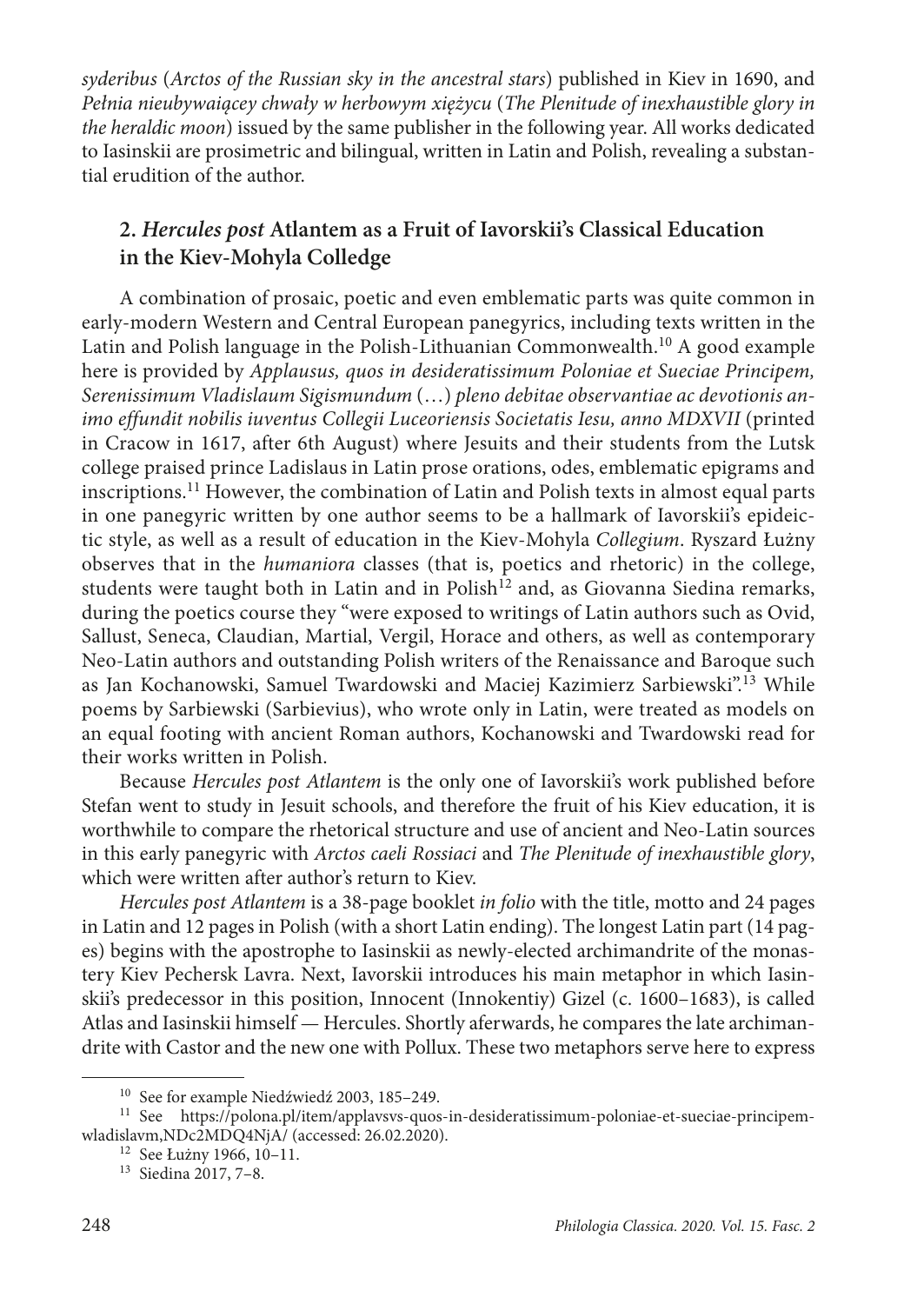*syderibus* (*Arctos of the Russian sky in the ancestral stars*) published in Kiev in 1690, and *Pełnia nieubywaiącey chwały w herbowym xiężycu* (*The Plenitude of inexhaustible glory in the heraldic moon*) issued by the same publisher in the following year. All works dedicated to Iasinskii are prosimetric and bilingual, written in Latin and Polish, revealing a substantial erudition of the author.

# **2.** *Hercules post* **Atlantem as a Fruit of Iavorskii's Classical Education in the Kiev-Mohyla Colledge**

A combination of prosaic, poetic and even emblematic parts was quite common in early-modern Western and Central European panegyrics, including texts written in the Latin and Polish language in the Polish-Lithuanian Commonwealth.<sup>10</sup> A good example here is provided by *Applausus, quos in desideratissimum Poloniae et Sueciae Principem, Serenissimum Vladislaum Sigismundum* (…) *pleno debitae observantiae ac devotionis animo effundit nobilis iuventus Collegii Luceoriensis Societatis Iesu, anno MDXVII* (printed in Cracow in 1617, after 6th August) where Jesuits and their students from the Lutsk college praised prince Ladislaus in Latin prose orations, odes, emblematic epigrams and inscriptions.11 However, the combination of Latin and Polish texts in almost equal parts in one panegyric written by one author seems to be a hallmark of Iavorskii's epideictic style, as well as a result of education in the Kiev-Mohyla *Collegium*. Ryszard Łużny observes that in the *humaniora* classes (that is, poetics and rhetoric) in the college, students were taught both in Latin and in Polish<sup>12</sup> and, as Giovanna Siedina remarks, during the poetics course they "were exposed to writings of Latin authors such as Ovid, Sallust, Seneca, Claudian, Martial, Vergil, Horace and others, as well as contemporary Neo-Latin authors and outstanding Polish writers of the Renaissance and Baroque such as Jan Kochanowski, Samuel Twardowski and Maciej Kazimierz Sarbiewski".13 While poems by Sarbiewski (Sarbievius), who wrote only in Latin, were treated as models on an equal footing with ancient Roman authors, Kochanowski and Twardowski read for their works written in Polish.

Because *Hercules post Atlantem* is the only one of Iavorskii's work published before Stefan went to study in Jesuit schools, and therefore the fruit of his Kiev education, it is worthwhile to compare the rhetorical structure and use of ancient and Neo-Latin sources in this early panegyric with *Arctos caeli Rossiaci* and *The Plenitude of inexhaustible glory*, which were written after author's return to Kiev.

*Hercules post Atlantem* is a 38-page booklet *in folio* with the title, motto and 24 pages in Latin and 12 pages in Polish (with a short Latin ending). The longest Latin part (14 pages) begins with the apostrophe to Iasinskii as newly-elected archimandrite of the monastery Kiev Pechersk Lavra. Next, Iavorskii introduces his main metaphor in which Iasinskii's predecessor in this position, Innocent (Innokentiy) Gizel (c. 1600–1683), is called Atlas and Iasinskii himself — Hercules. Shortly aferwards, he compares the late archimandrite with Castor and the new one with Pollux. These two metaphors serve here to express

<sup>10</sup> See for example Niedźwiedź 2003, 185–249.

<sup>11</sup> See [https://polona.pl/item/applavsvs-quos-in-desideratissimum-poloniae-et-sueciae-principem](https://polona.pl/item/applavsvs-quos-in-desideratissimum-poloniae-et-sueciae-principem-wladislavm,NDc2MDQ4NjA/)[wladislavm,NDc2MDQ4NjA/](https://polona.pl/item/applavsvs-quos-in-desideratissimum-poloniae-et-sueciae-principem-wladislavm,NDc2MDQ4NjA/) (accessed: 26.02.2020).

<sup>12</sup> See Łużny 1966, 10–11.

<sup>13</sup> Siedina 2017, 7–8.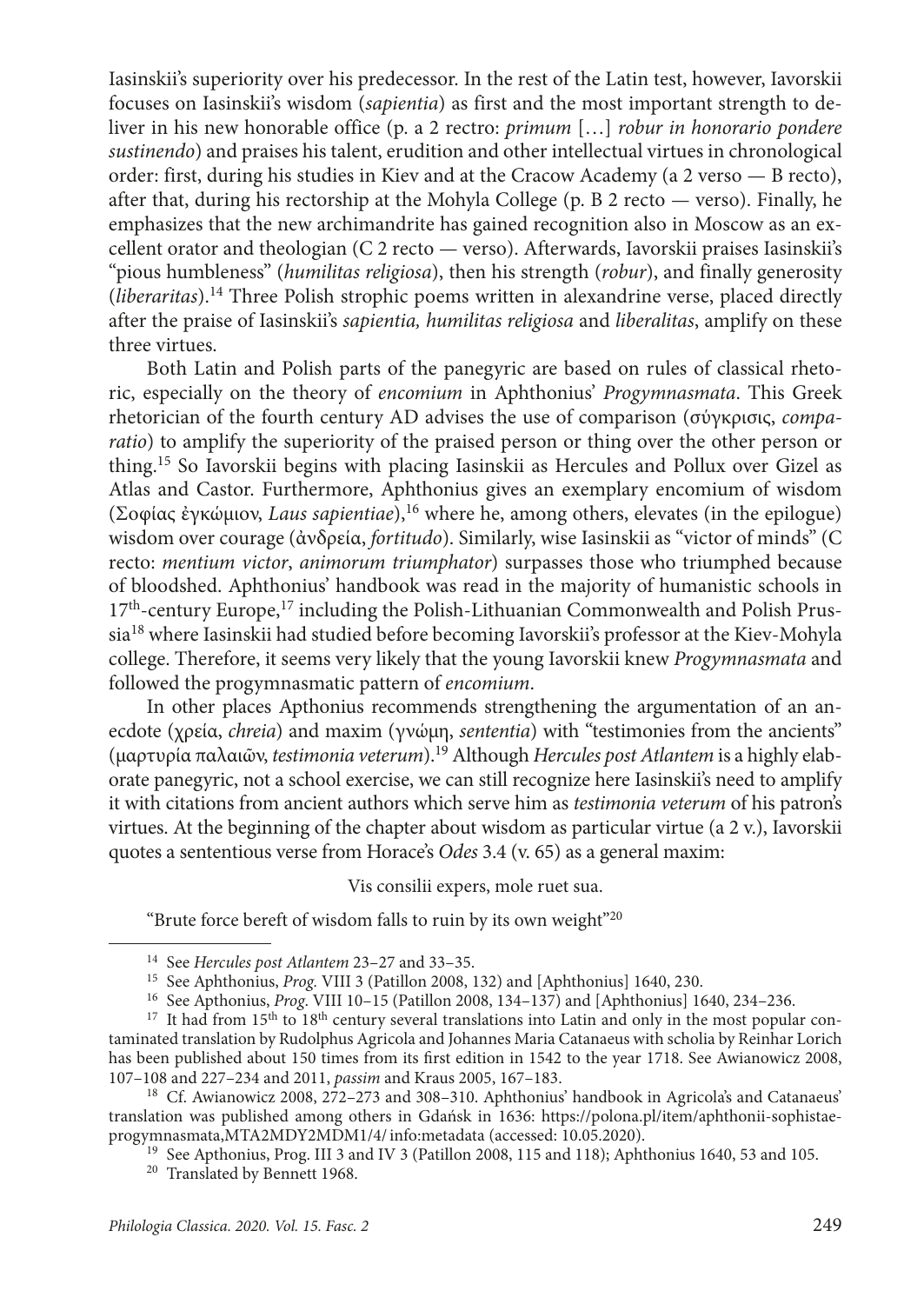Iasinskii's superiority over his predecessor. In the rest of the Latin test, however, Iavorskii focuses on Iasinskii's wisdom (*sapientia*) as first and the most important strength to deliver in his new honorable office (p. a 2 rectro: *primum* […] *robur in honorario pondere sustinendo*) and praises his talent, erudition and other intellectual virtues in chronological order: first, during his studies in Kiev and at the Cracow Academy (a 2 verso — B recto), after that, during his rectorship at the Mohyla College (p. B 2 recto — verso). Finally, he emphasizes that the new archimandrite has gained recognition also in Moscow as an excellent orator and theologian (C 2 recto — verso). Afterwards, Iavorskii praises Iasinskii's "pious humbleness" (*humilitas religiosa*), then his strength (*robur*), and finally generosity (*liberaritas*).14 Three Polish strophic poems written in alexandrine verse, placed directly after the praise of Iasinskii's *sapientia, humilitas religiosa* and *liberalitas*, amplify on these three virtues.

Both Latin and Polish parts of the panegyric are based on rules of classical rhetoric, especially on the theory of *encomium* in Aphthonius' *Progymnasmata*. This Greek rhetorician of the fourth century AD advises the use of comparison (σύγκρισις, *comparatio*) to amplify the superiority of the praised person or thing over the other person or thing.15 So Iavorskii begins with placing Iasinskii as Hercules and Pollux over Gizel as Atlas and Castor. Furthermore, Aphthonius gives an exemplary encomium of wisdom (Σοφίας ἐγκώμιον, *Laus sapientiae*),16 where he, among others, elevates (in the epilogue) wisdom over courage (ἀνδρεία, *fortitudo*). Similarly, wise Iasinskii as "victor of minds" (C recto: *mentium victor*, *animorum triumphator*) surpasses those who triumphed because of bloodshed. Aphthonius' handbook was read in the majority of humanistic schools in  $17<sup>th</sup>$ -century Europe,<sup>17</sup> including the Polish-Lithuanian Commonwealth and Polish Prussia<sup>18</sup> where Iasinskii had studied before becoming Iavorskii's professor at the Kiev-Mohyla college. Therefore, it seems very likely that the young Iavorskii knew *Progymnasmata* and followed the progymnasmatic pattern of *encomium*.

In other places Apthonius recommends strengthening the argumentation of an anecdote (χρεία, *chreia*) and maxim (γνώμη, *sententia*) with "testimonies from the ancients" (μαρτυρία παλαιῶν, *testimonia veterum*).19 Although *Hercules post Atlantem* is a highly elaborate panegyric, not a school exercise, we can still recognize here Iasinskii's need to amplify it with citations from ancient authors which serve him as *testimonia veterum* of his patron's virtues. At the beginning of the chapter about wisdom as particular virtue (a 2 v.), Iavorskii quotes a sententious verse from Horace's *Odes* 3.4 (v. 65) as a general maxim:

#### Vis consilii expers, mole ruet sua.

"Brute force bereft of wisdom falls to ruin by its own weight"20

<sup>14</sup> See *Hercules post Atlantem* 23–27 and 33–35.

<sup>15</sup> See Aphthonius, *Prog.* VIII 3 (Patillon 2008, 132) and [Aphthonius] 1640, 230.

<sup>&</sup>lt;sup>17</sup> It had from 15<sup>th</sup> to 18<sup>th</sup> century several translations into Latin and only in the most popular contaminated translation by Rudolphus Agricola and Johannes Maria Catanaeus with scholia by Reinhar Lorich has been published about 150 times from its first edition in 1542 to the year 1718. See Awianowicz 2008, 107–108 and 227–234 and 2011, *passim* and Kraus 2005, 167–183.

<sup>&</sup>lt;sup>18</sup> Cf. Awianowicz 2008, 272-273 and 308-310. Aphthonius' handbook in Agricola's and Catanaeus' translation was published among others in Gdańsk in 1636: [https://polona.pl/item/aphthonii-sophistae](https://polona.pl/item/aphthonii-sophistae-progymnasmata,MTA2MDY2MDM1/4/#info:metadata)[progymnasmata,MTA2MDY2MDM1/4/info:metadata](https://polona.pl/item/aphthonii-sophistae-progymnasmata,MTA2MDY2MDM1/4/#info:metadata) (accessed: 10.05.2020).

<sup>19</sup> See Apthonius, Prog. III 3 and IV 3 (Patillon 2008, 115 and 118); Aphthonius 1640, 53 and 105.

<sup>&</sup>lt;sup>20</sup> Translated by Bennett 1968.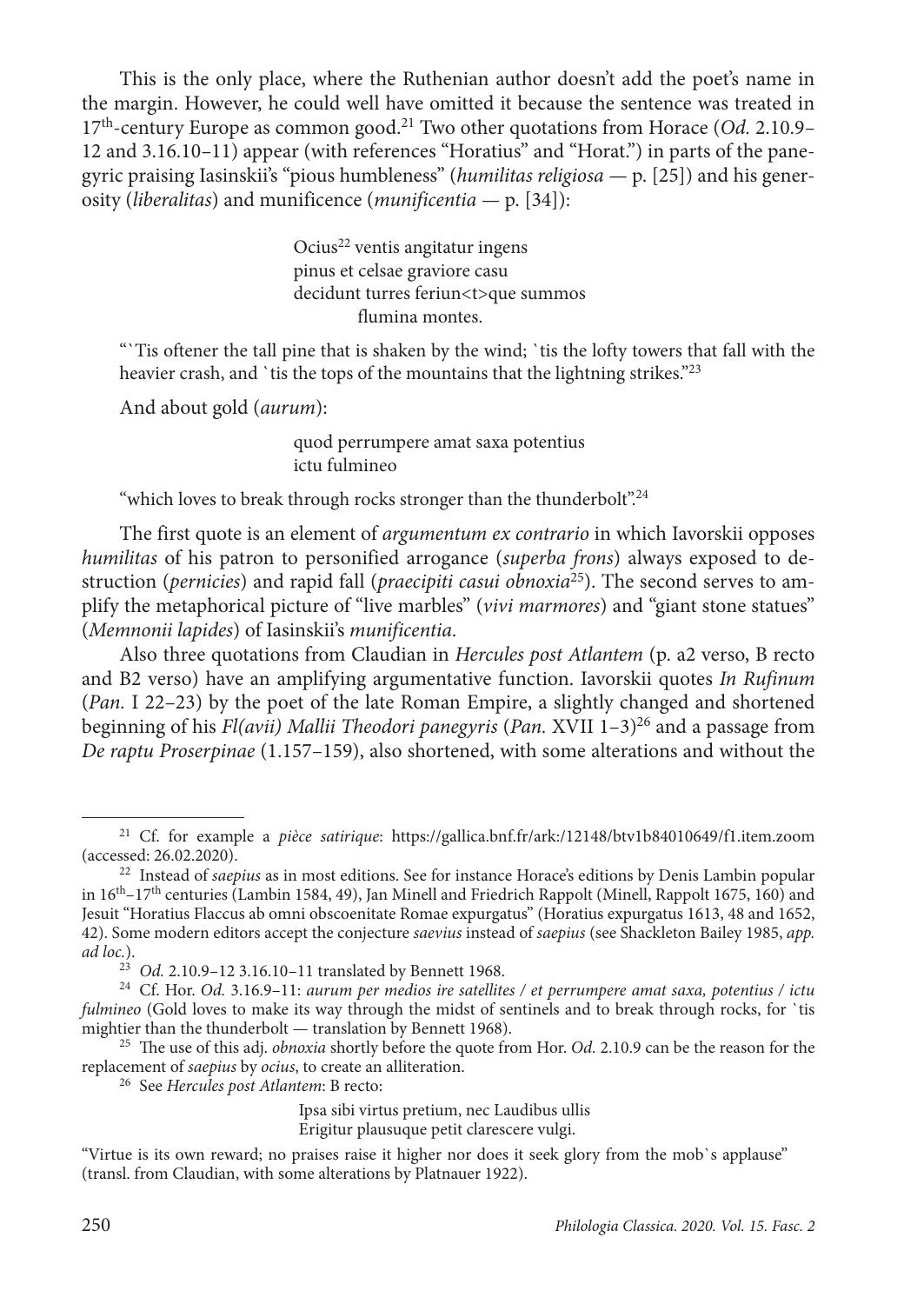This is the only place, where the Ruthenian author doesn't add the poet's name in the margin. However, he could well have omitted it because the sentence was treated in 17th-century Europe as common good.21 Two other quotations from Horace (*Od.* 2.10.9*–* 12 and 3.16.10*–*11) appear (with references "Horatius" and "Horat.") in parts of the panegyric praising Iasinskii's "pious humbleness" (*humilitas religiosa —* p. [25]) and his generosity (*liberalitas*) and munificence (*munificentia —* p. [34]):

> Ocius<sup>22</sup> ventis angitatur ingens pinus et celsae graviore casu decidunt turres feriun<t>que summos flumina montes.

"`Tis oftener the tall pine that is shaken by the wind; `tis the lofty towers that fall with the heavier crash, and `tis the tops of the mountains that the lightning strikes."<sup>23</sup>

And about gold (*aurum*):

quod perrumpere amat saxa potentius ictu fulmineo

"which loves to break through rocks stronger than the thunderbolt".<sup>24</sup>

The first quote is an element of *argumentum ex contrario* in which Iavorskii opposes *humilitas* of his patron to personified arrogance (*superba frons*) always exposed to destruction (*pernicies*) and rapid fall (*praecipiti casui obnoxia*25). The second serves to amplify the metaphorical picture of "live marbles" (*vivi marmores*) and "giant stone statues" (*Memnonii lapides*) of Iasinskii's *munificentia*.

Also three quotations from Claudian in *Hercules post Atlantem* (p. a2 verso, B recto and B2 verso) have an amplifying argumentative function. Iavorskii quotes *In Rufinum*  (*Pan.* I 22–23) by the poet of the late Roman Empire, a slightly changed and shortened beginning of his *Fl(avii) Mallii Theodori panegyris* (*Pan.* XVII 1–3)26 and a passage from *De raptu Proserpinae* (1.157–159), also shortened, with some alterations and without the

<sup>21</sup> Cf. for example a *pièce satirique*: <https://gallica.bnf.fr/ark:/12148/btv1b84010649/f1.item.zoom> (accessed: 26.02.2020).

<sup>22</sup> Instead of *saepius* as in most editions. See for instance Horace's editions by Denis Lambin popular in 16th–17th centuries (Lambin 1584, 49), Jan Minell and Friedrich Rappolt (Minell, Rappolt 1675, 160) and Jesuit "Horatius Flaccus ab omni obscoenitate Romae expurgatus" (Horatius expurgatus 1613, 48 and 1652, 42). Some modern editors accept the conjecture *saevius* instead of *saepius* (see Shackleton Bailey 1985, *app. ad loc.*).

<sup>23</sup> *Od.* 2.10.9–12 3.16.10–11 translated by Bennett 1968.

<sup>24</sup> Cf. Hor. *Od.* 3.16.9–11: *aurum per medios ire satellites / et perrumpere amat saxa, potentius / ictu fulmineo* (Gold loves to make its way through the midst of sentinels and to break through rocks, for `tis mightier than the thunderbolt — translation by Bennett 1968).

<sup>25</sup> The use of this adj. *obnoxia* shortly before the quote from Hor. *Od.* 2.10.9 can be the reason for the replacement of *saepius* by *ocius*, to create an alliteration.

<sup>26</sup> See *Hercules post Atlantem*: B recto:

Ipsa sibi virtus pretium, nec Laudibus ullis

Erigitur plausuque petit clarescere vulgi.

<sup>&</sup>quot;Virtue is its own reward; no praises raise it higher nor does it seek glory from the mob`s applause" (transl. from Claudian, with some alterations by Platnauer 1922).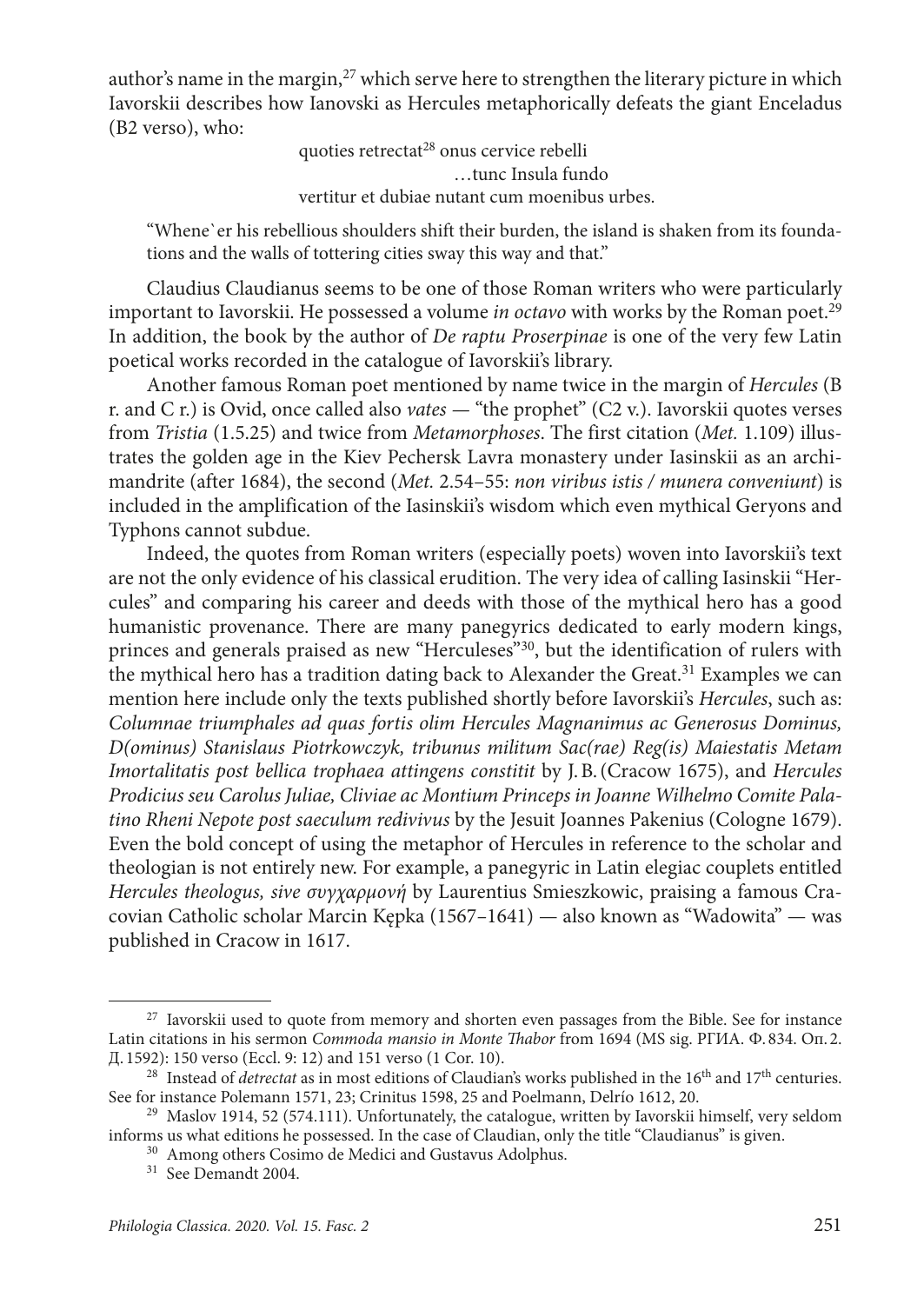author's name in the margin, $27$  which serve here to strengthen the literary picture in which Iavorskii describes how Ianovski as Hercules metaphorically defeats the giant Enceladus (B2 verso), who:

> quoties retrectat<sup>28</sup> onus cervice rebelli …tunc Insula fundo vertitur et dubiae nutant cum moenibus urbes.

"Whene`er his rebellious shoulders shift their burden, the island is shaken from its foundations and the walls of tottering cities sway this way and that."

Claudius Claudianus seems to be one of those Roman writers who were particularly important to Iavorskii. He possessed a volume *in octavo* with works by the Roman poet.<sup>29</sup> In addition, the book by the author of *De raptu Proserpinae* is one of the very few Latin poetical works recorded in the catalogue of Iavorskii's library.

Another famous Roman poet mentioned by name twice in the margin of *Hercules* (B r. and C r.) is Ovid, once called also *vates —* "the prophet" (C2 v.). Iavorskii quotes verses from *Tristia* (1.5.25) and twice from *Metamorphoses*. The first citation (*Met.* 1.109) illustrates the golden age in the Kiev Pechersk Lavra monastery under Iasinskii as an archimandrite (after 1684), the second (*Met.* 2.54–55: *non viribus istis / munera conveniunt*) is included in the amplification of the Iasinskii's wisdom which even mythical Geryons and Typhons cannot subdue.

Indeed, the quotes from Roman writers (especially poets) woven into Iavorskii's text are not the only evidence of his classical erudition. The very idea of calling Iasinskii "Hercules" and comparing his career and deeds with those of the mythical hero has a good humanistic provenance. There are many panegyrics dedicated to early modern kings, princes and generals praised as new "Herculeses"<sup>30</sup>, but the identification of rulers with the mythical hero has a tradition dating back to Alexander the Great.31 Examples we can mention here include only the texts published shortly before Iavorskii's *Hercules*, such as: *Columnae triumphales ad quas fortis olim Hercules Magnanimus ac Generosus Dominus, D(ominus) Stanislaus Piotrkowczyk, tribunus militum Sac(rae) Reg(is) Maiestatis Metam Imortalitatis post bellica trophaea attingens constitit* by J.B.(Cracow 1675), and *Hercules Prodicius seu Carolus Juliae, Cliviae ac Montium Princeps in Joanne Wilhelmo Comite Palatino Rheni Nepote post saeculum redivivus* by the Jesuit Joannes Pakenius (Cologne 1679). Even the bold concept of using the metaphor of Hercules in reference to the scholar and theologian is not entirely new. For example, a panegyric in Latin elegiac couplets entitled *Hercules theologus, sive συγχαρμονή* by Laurentius Smieszkowic, praising a famous Cracovian Catholic scholar Marcin Kępka (1567*–*1641) — also known as "Wadowita" — was published in Cracow in 1617.

 $27$  Iavorskii used to quote from memory and shorten even passages from the Bible. See for instance Latin citations in his sermon *Commoda mansio in Monte Thabor* from 1694 (MS sig. РГИА. Ф. 834. Оп. 2. Д. 1592): 150 verso (Eccl. 9: 12) and 151 verso (1 Cor. 10).

<sup>&</sup>lt;sup>28</sup> Instead of *detrectat* as in most editions of Claudian's works published in the 16<sup>th</sup> and 17<sup>th</sup> centuries. See for instance Polemann 1571, 23; Crinitus 1598, 25 and Poelmann, Delrío 1612, 20.

<sup>29</sup> Maslov 1914, 52 (574.111). Unfortunately, the catalogue, written by Iavorskii himself, very seldom informs us what editions he possessed. In the case of Claudian, only the title "Claudianus" is given.

<sup>30</sup> Among others Cosimo de Medici and Gustavus Adolphus.

<sup>31</sup> See Demandt 2004.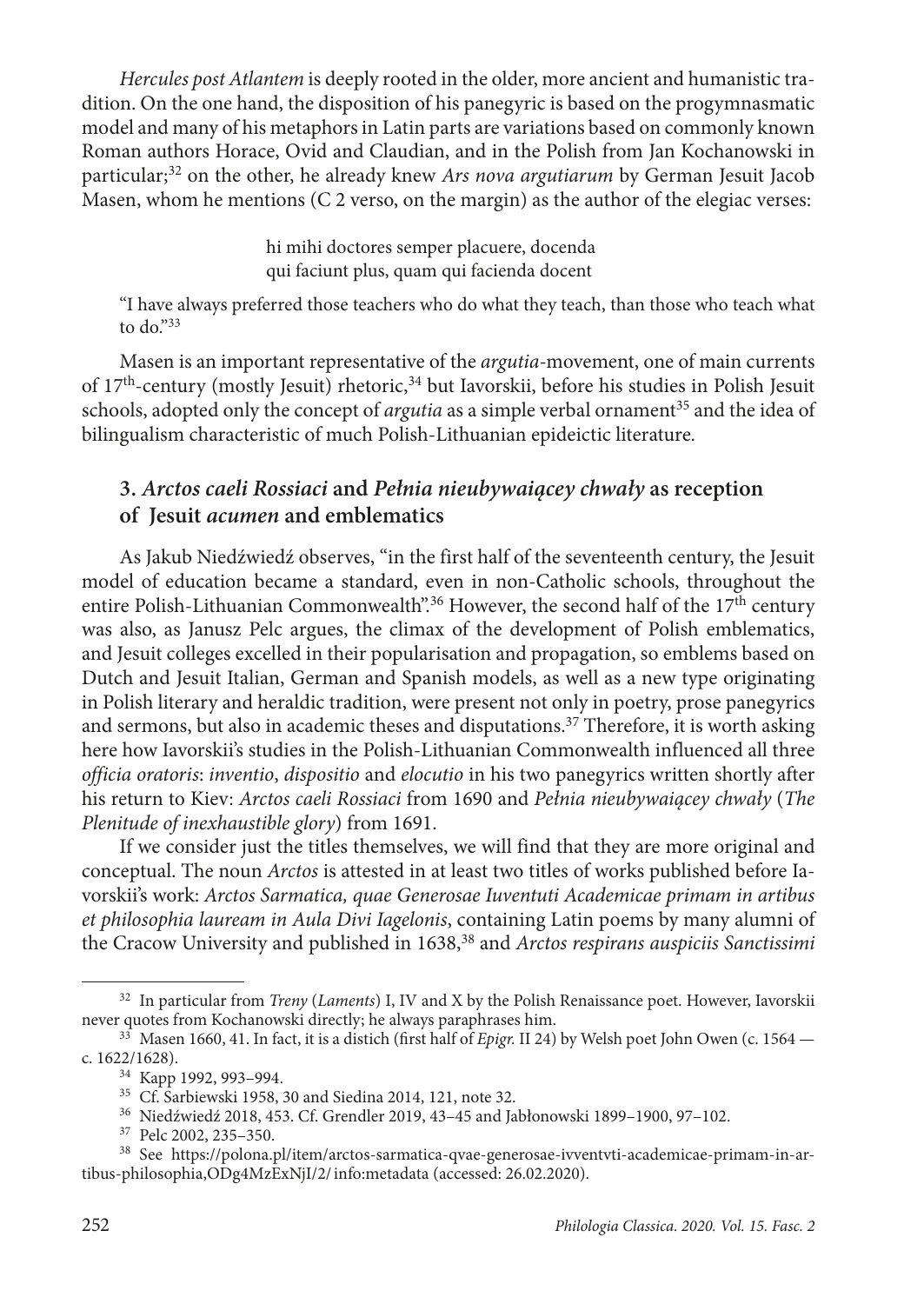*Hercules post Atlantem* is deeply rooted in the older, more ancient and humanistic tradition. On the one hand, the disposition of his panegyric is based on the progymnasmatic model and many of his metaphors in Latin parts are variations based on commonly known Roman authors Horace, Ovid and Claudian, and in the Polish from Jan Kochanowski in particular;32 on the other, he already knew *Ars nova argutiarum* by German Jesuit Jacob Masen, whom he mentions  $(C_2)$  verso, on the margin) as the author of the elegiac verses:

> hi mihi doctores semper placuere, docenda qui faciunt plus, quam qui facienda docent

"I have always preferred those teachers who do what they teach, than those who teach what to  $do.^{"33}$ 

Masen is an important representative of the *argutia-*movement, one of main currents of 17<sup>th</sup>-century (mostly Jesuit) rhetoric,<sup>34</sup> but Iavorskii, before his studies in Polish Jesuit schools, adopted only the concept of *argutia* as a simple verbal ornament<sup>35</sup> and the idea of bilingualism characteristic of much Polish-Lithuanian epideictic literature.

# **3.** *Arctos caeli Rossiaci* **and** *Pełnia nieubywaiącey chwały* **as reception of Jesuit** *acumen* **and emblematics**

As Jakub Niedźwiedź observes, "in the first half of the seventeenth century, the Jesuit model of education became a standard, even in non-Catholic schools, throughout the entire Polish-Lithuanian Commonwealth".<sup>36</sup> However, the second half of the  $17<sup>th</sup>$  century was also, as Janusz Pelc argues, the climax of the development of Polish emblematics, and Jesuit colleges excelled in their popularisation and propagation, so emblems based on Dutch and Jesuit Italian, German and Spanish models, as well as a new type originating in Polish literary and heraldic tradition, were present not only in poetry, prose panegyrics and sermons, but also in academic theses and disputations.<sup>37</sup> Therefore, it is worth asking here how Iavorskii's studies in the Polish-Lithuanian Commonwealth influenced all three *officia oratoris*: *inventio*, *dispositio* and *elocutio* in his two panegyrics written shortly after his return to Kiev: *Arctos caeli Rossiaci* from 1690 and *Pełnia nieubywaiącey chwały* (*The Plenitude of inexhaustible glory*) from 1691.

If we consider just the titles themselves, we will find that they are more original and conceptual. The noun *Arctos* is attested in at least two titles of works published before Iavorskii's work: *Arctos Sarmatica, quae Generosae Iuventuti Academicae primam in artibus et philosophia lauream in Aula Divi Iagelonis*, containing Latin poems by many alumni of the Cracow University and published in 1638,<sup>38</sup> and *Arctos respirans auspiciis Sanctissimi* 

<sup>&</sup>lt;sup>32</sup> In particular from *Treny (Laments)* I, IV and X by the Polish Renaissance poet. However, Iavorskii never quotes from Kochanowski directly; he always paraphrases him.

 $1660$ , 41. In fact, it is a distich (first half of *Epigr*. II 24) by Welsh poet John Owen (c. 1564 c. 1622/1628).

<sup>34</sup> Kapp 1992, 993–994.

<sup>35</sup> Cf. Sarbiewski 1958, 30 and Siedina 2014, 121, note 32.

<sup>36</sup> Niedźwiedź 2018, 453. Cf. Grendler 2019, 43–45 and Jabłonowski 1899–1900, 97–102.

<sup>37</sup> Pelc 2002, 235–350.

<sup>38</sup> See [https://polona.pl/item/arctos-sarmatica-qvae-generosae-ivventvti-academicae-primam-in-ar](https://polona.pl/item/arctos-sarmatica-qvae-generosae-ivventvti-academicae-primam-in-artibus-philosophia,ODg4MzExNjI/2/#info:metadata)[tibus-philosophia,ODg4MzExNjI/2/info:metadata](https://polona.pl/item/arctos-sarmatica-qvae-generosae-ivventvti-academicae-primam-in-artibus-philosophia,ODg4MzExNjI/2/#info:metadata) (accessed: 26.02.2020).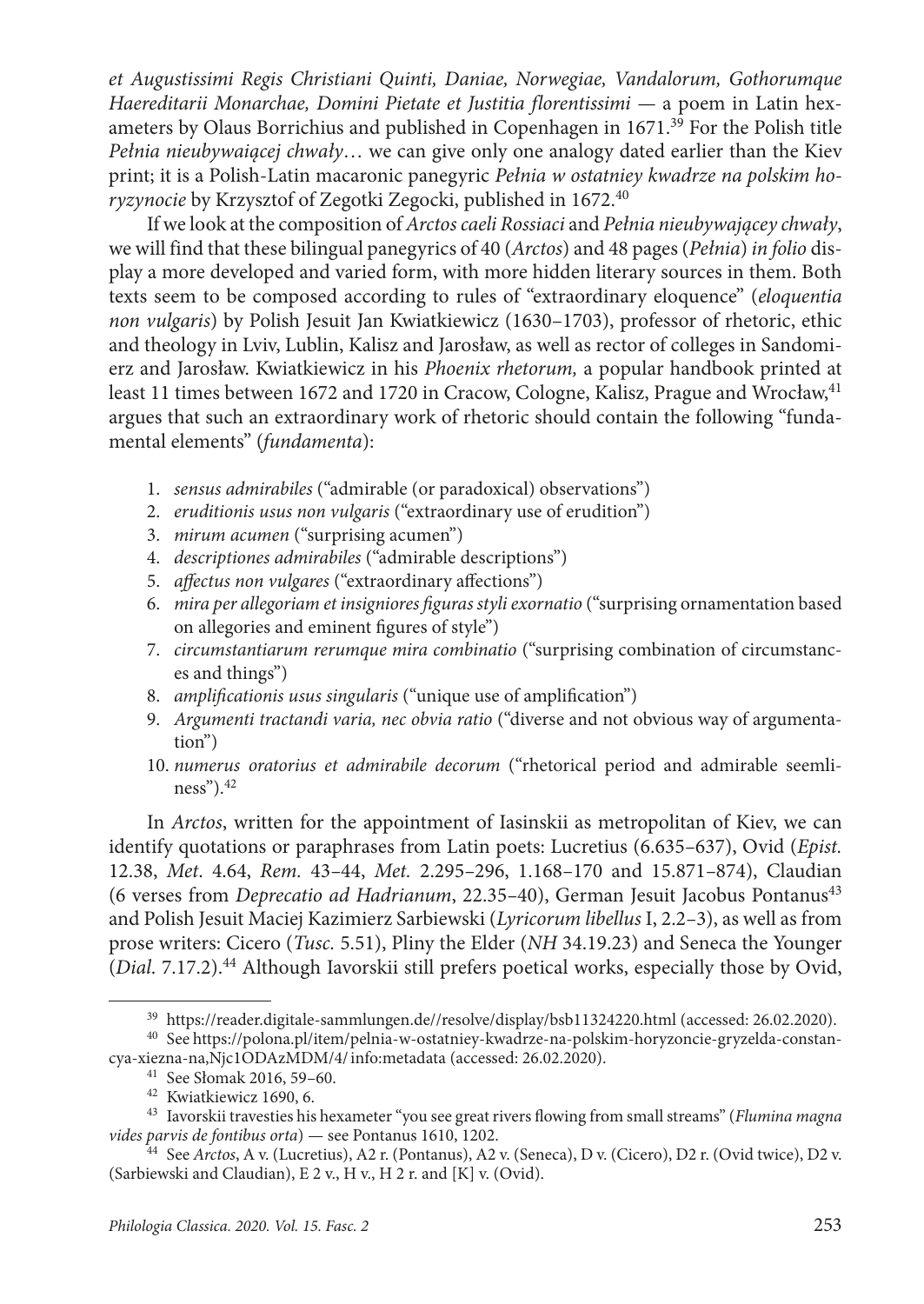*et Augustissimi Regis Christiani Quinti, Daniae, Norwegiae, Vandalorum, Gothorumque Haereditarii Monarchae, Domini Pietate et Justitia florentissimi —* a poem in Latin hexameters by Olaus Borrichius and published in Copenhagen in 1671.<sup>39</sup> For the Polish title *Pełnia nieubywaiącej chwały*… we can give only one analogy dated earlier than the Kiev print; it is a Polish-Latin macaronic panegyric *Pełnia w ostatniey kwadrze na polskim horyzynocie* by Krzysztof of Zegotki Zegocki, published in 1672.40

If we look at the composition of *Arctos caeli Rossiaci* and *Pełnia nieubywającey chwały*, we will find that these bilingual panegyrics of 40 (*Arctos*) and 48 pages (*Pełnia*) *in folio* display a more developed and varied form, with more hidden literary sources in them. Both texts seem to be composed according to rules of "extraordinary eloquence" (*eloquentia non vulgaris*) by Polish Jesuit Jan Kwiatkiewicz (1630–1703), professor of rhetoric, ethic and theology in Lviv, Lublin, Kalisz and Jarosław, as well as rector of colleges in Sandomierz and Jarosław. Kwiatkiewicz in his *Phoenix rhetorum,* a popular handbook printed at least 11 times between 1672 and 1720 in Cracow, Cologne, Kalisz, Prague and Wrocław,<sup>41</sup> argues that such an extraordinary work of rhetoric should contain the following "fundamental elements" (*fundamenta*):

- 1. *sensus admirabiles* ("admirable (or paradoxical) observations")
- 2. *eruditionis usus non vulgaris* ("extraordinary use of erudition")
- 3. *mirum acumen* ("surprising acumen")
- 4. *descriptiones admirabiles* ("admirable descriptions")
- 5. *affectus non vulgares* ("extraordinary affections")
- 6. *mira per allegoriam et insigniores figuras styli exornatio* ("surprising ornamentation based on allegories and eminent figures of style")
- 7. *circumstantiarum rerumque mira combinatio* ("surprising combination of circumstances and things")
- 8. *amplificationis usus singularis* ("unique use of amplification")
- 9. *Argumenti tractandi varia, nec obvia ratio* ("diverse and not obvious way of argumentation")
- 10. *numerus oratorius et admirabile decorum* ("rhetorical period and admirable seemliness").42

In *Arctos*, written for the appointment of Iasinskii as metropolitan of Kiev, we can identify quotations or paraphrases from Latin poets: Lucretius (6.635*–*637), Ovid (*Epist.*  12.38, *Met*. 4.64, *Rem.* 43*–*44, *Met.* 2.295*–*296, 1.168*–*170 and 15.871*–*874), Claudian (6 verses from *Deprecatio ad Hadrianum*, 22.35*–*40), German Jesuit Jacobus Pontanus43 and Polish Jesuit Maciej Kazimierz Sarbiewski (*Lyricorum libellus* I, 2.2*–*3), as well as from prose writers: Cicero (*Tusc.* 5.51), Pliny the Elder (*NH* 34.19.23) and Seneca the Younger (*Dial*. 7.17.2).44 Although Iavorskii still prefers poetical works, especially those by Ovid,

<sup>39</sup> <https://reader.digitale-sammlungen.de//resolve/display/bsb11324220.html> (accessed: 26.02.2020).

<sup>40</sup> See [https://polona.pl/item/pelnia-w-ostatniey-kwadrze-na-polskim-horyzoncie-gryzelda-constan](https://polona.pl/item/pelnia-w-ostatniey-kwadrze-na-polskim-horyzoncie-gryzelda-constan-
cya-xiezna-na,Njc1ODAzMDM/4/#info:metadata)[cya-xiezna-na,Njc1ODAzMDM/4/info:metadata](https://polona.pl/item/pelnia-w-ostatniey-kwadrze-na-polskim-horyzoncie-gryzelda-constan-
cya-xiezna-na,Njc1ODAzMDM/4/#info:metadata) (accessed: 26.02.2020).

<sup>41</sup> See Słomak 2016, 59–60.

<sup>42</sup> Kwiatkiewicz 1690, 6.

<sup>43</sup> Iavorskii travesties his hexameter "you see great rivers flowing from small streams" (*Flumina magna vides parvis de fontibus orta*) — see Pontanus 1610, 1202.

<sup>44</sup> See *Arctos*, A v. (Lucretius), A2 r. (Pontanus), A2 v. (Seneca), D v. (Cicero), D2 r. (Ovid twice), D2 v. (Sarbiewski and Claudian), E 2 v., H v., H 2 r. and [K] v. (Ovid).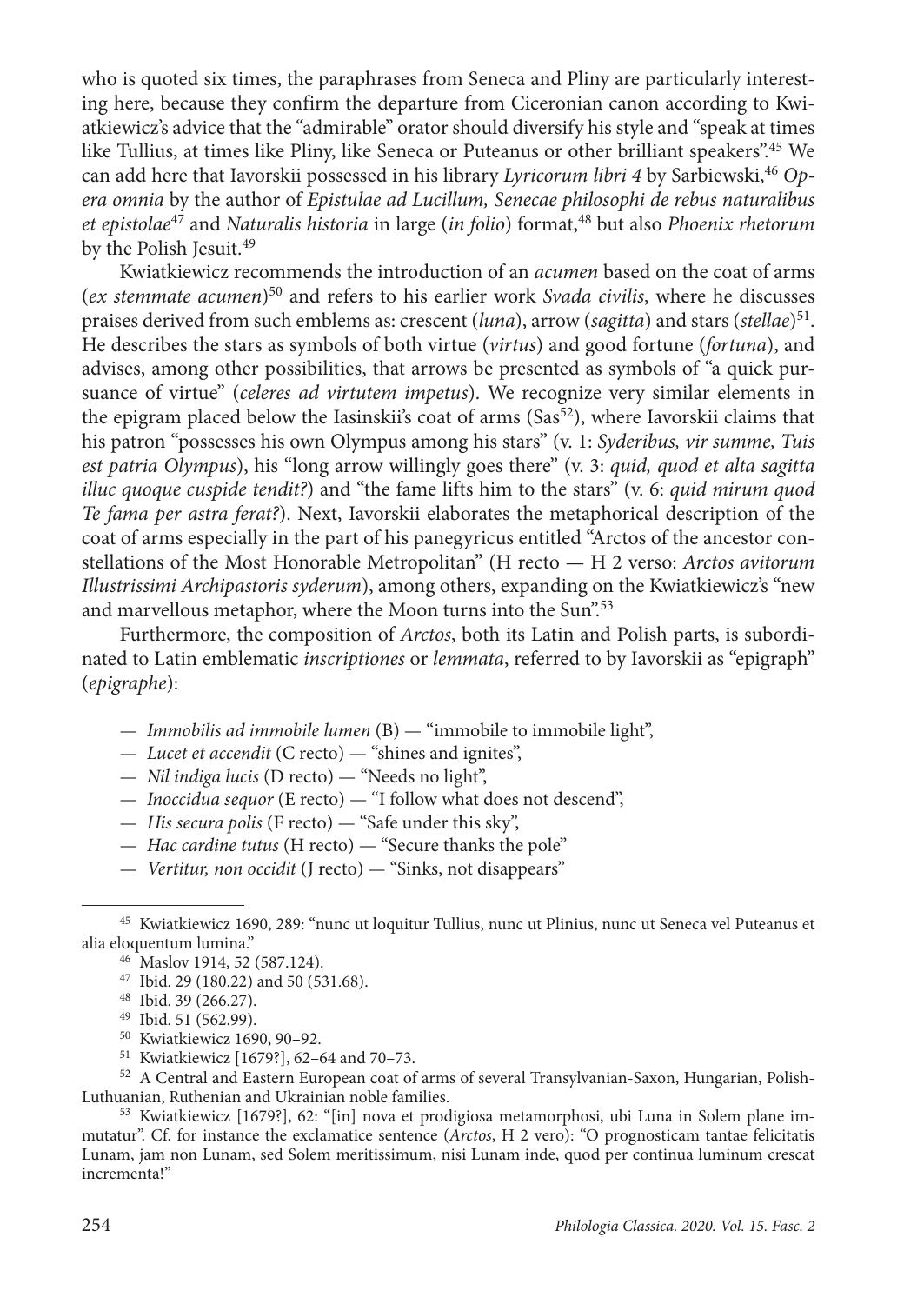who is quoted six times, the paraphrases from Seneca and Pliny are particularly interesting here, because they confirm the departure from Ciceronian canon according to Kwiatkiewicz's advice that the "admirable" orator should diversify his style and "speak at times like Tullius, at times like Pliny, like Seneca or Puteanus or other brilliant speakers".45 We can add here that Iavorskii possessed in his library *Lyricorum libri 4* by Sarbiewski,<sup>46</sup> Op*era omnia* by the author of *Epistulae ad Lucillum, Senecae philosophi de rebus naturalibus et epistolae<sup>47</sup>* and *Naturalis historia* in large (*in folio*) format,<sup>48</sup> but also *Phoenix rhetorum* by the Polish Jesuit.<sup>49</sup>

Kwiatkiewicz recommends the introduction of an *acumen* based on the coat of arms (*ex stemmate acumen*)50 and refers to his earlier work *Svada civilis*, where he discusses praises derived from such emblems as: crescent (*luna*), arrow (*sagitta*) and stars (*stellae*)51. He describes the stars as symbols of both virtue (*virtus*) and good fortune (*fortuna*), and advises, among other possibilities, that arrows be presented as symbols of "a quick pursuance of virtue" (*celeres ad virtutem impetus*). We recognize very similar elements in the epigram placed below the Iasinskii's coat of arms ( $Sas<sup>52</sup>$ ), where Iavorskii claims that his patron "possesses his own Olympus among his stars" (v. 1: *Syderibus, vir summe, Tuis est patria Olympus*), his "long arrow willingly goes there" (v. 3: *quid, quod et alta sagitta illuc quoque cuspide tendit?*) and "the fame lifts him to the stars" (v. 6: *quid mirum quod Te fama per astra ferat?*). Next, Iavorskii elaborates the metaphorical description of the coat of arms especially in the part of his panegyricus entitled "Arctos of the ancestor constellations of the Most Honorable Metropolitan" (H recto — H 2 verso: *Arctos avitorum Illustrissimi Archipastoris syderum*), among others, expanding on the Kwiatkiewicz's "new and marvellous metaphor, where the Moon turns into the Sun".<sup>53</sup>

Furthermore, the composition of *Arctos*, both its Latin and Polish parts, is subordinated to Latin emblematic *inscriptiones* or *lemmata*, referred to by Iavorskii as "epigraph" (*epigraphe*):

- *Immobilis ad immobile lumen* (B) "immobile to immobile light",
- *Lucet et accendit* (C recto) "shines and ignites",
- *Nil indiga lucis* (D recto) "Needs no light",
- *Inoccidua sequor* (E recto) "I follow what does not descend",
- *His secura polis* (F recto) "Safe under this sky",
- *Hac cardine tutus* (H recto) "Secure thanks the pole"
- *Vertitur, non occidit* (J recto) "Sinks, not disappears"

<sup>50</sup> Kwiatkiewicz 1690, 90–92.

53 Kwiatkiewicz [1679?], 62: "[in] nova et prodigiosa metamorphosi, ubi Luna in Solem plane immutatur". Cf. for instance the exclamatice sentence (*Arctos*, H 2 vero): "O prognosticam tantae felicitatis Lunam, jam non Lunam, sed Solem meritissimum, nisi Lunam inde, quod per continua luminum crescat incrementa!"

<sup>45</sup> Kwiatkiewicz 1690, 289: "nunc ut loquitur Tullius, nunc ut Plinius, nunc ut Seneca vel Puteanus et alia eloquentum lumina."

<sup>46</sup> Maslov 1914, 52 (587.124).

<sup>47</sup> Ibid. 29 (180.22) and 50 (531.68).

<sup>48</sup> Ibid. 39 (266.27).

<sup>49</sup> Ibid. 51 (562.99).

<sup>51</sup> Kwiatkiewicz [1679?], 62–64 and 70–73.

 $^\mathrm{52}$  A Central and Eastern European coat of arms of several Transylvanian-Saxon, Hungarian, Polish-Luthuanian, Ruthenian and Ukrainian noble families.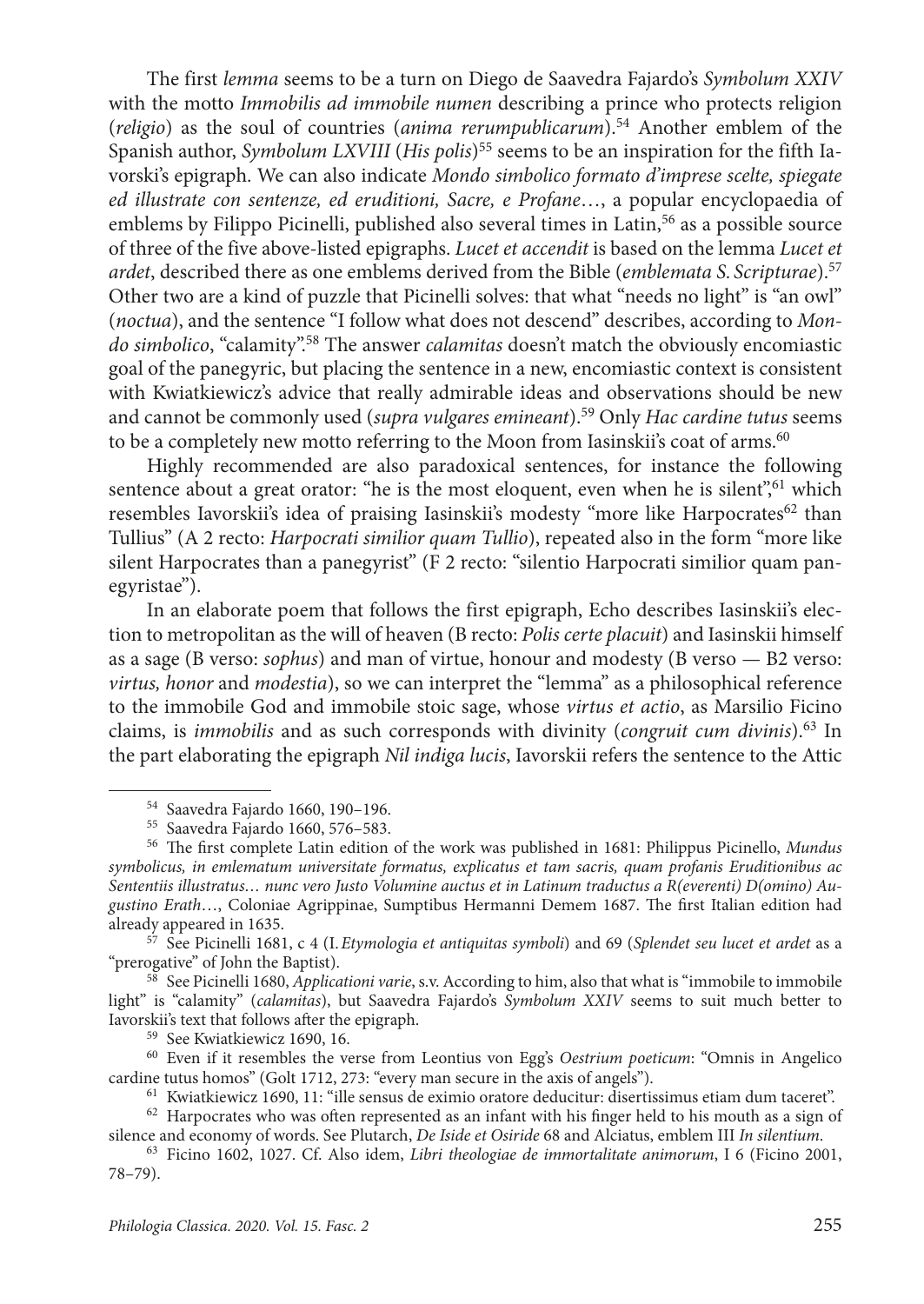The first *lemma* seems to be a turn on Diego de Saavedra Fajardo's *Symbolum XXIV* with the motto *Immobilis ad immobile numen* describing a prince who protects religion (*religio*) as the soul of countries (*anima rerumpublicarum*).54 Another emblem of the Spanish author, *Symbolum LXVIII* (*His polis*)55 seems to be an inspiration for the fifth Iavorski's epigraph. We can also indicate *Mondo simbolico formato d'imprese scelte, spiegate ed illustrate con sentenze, ed eruditioni, Sacre, e Profane*…, a popular encyclopaedia of emblems by Filippo Picinelli, published also several times in Latin,<sup>56</sup> as a possible source of three of the five above-listed epigraphs. *Lucet et accendit* is based on the lemma *Lucet et ardet*, described there as one emblems derived from the Bible (*emblemata S. Scripturae*).57 Other two are a kind of puzzle that Picinelli solves: that what "needs no light" is "an owl" (*noctua*), and the sentence "I follow what does not descend" describes, according to *Mondo simbolico*, "calamity".58 The answer *calamitas* doesn't match the obviously encomiastic goal of the panegyric, but placing the sentence in a new, encomiastic context is consistent with Kwiatkiewicz's advice that really admirable ideas and observations should be new and cannot be commonly used (*supra vulgares emineant*).59 Only *Hac cardine tutus* seems to be a completely new motto referring to the Moon from Iasinskii's coat of arms.<sup>60</sup>

Highly recommended are also paradoxical sentences, for instance the following sentence about a great orator: "he is the most eloquent, even when he is silent", which resembles Iavorskii's idea of praising Iasinskii's modesty "more like Harpocrates<sup>62</sup> than Tullius" (A 2 recto: *Harpocrati similior quam Tullio*), repeated also in the form "more like silent Harpocrates than a panegyrist" (F 2 recto: "silentio Harpocrati similior quam panegyristae").

In an elaborate poem that follows the first epigraph, Echo describes Iasinskii's election to metropolitan as the will of heaven (B recto: *Polis certe placuit*) and Iasinskii himself as a sage (B verso: *sophus*) and man of virtue, honour and modesty (B verso — B2 verso: *virtus, honor* and *modestia*), so we can interpret the "lemma" as a philosophical reference to the immobile God and immobile stoic sage, whose *virtus et actio*, as Marsilio Ficino claims, is *immobilis* and as such corresponds with divinity (*congruit cum divinis*).63 In the part elaborating the epigraph *Nil indiga lucis*, Iavorskii refers the sentence to the Attic

<sup>57</sup> See Picinelli 1681, c 4 (I.*Etymologia et antiquitas symboli*) and 69 (*Splendet seu lucet et ardet* as a

<sup>58</sup> See Picinelli 1680, *Applicationi varie*, s.v. According to him, also that what is "immobile to immobile light" is "calamity" (*calamitas*), but Saavedra Fajardo's *Symbolum XXIV* seems to suit much better to Iavorskii's text that follows after the epigraph.

<sup>59</sup> See Kwiatkiewicz 1690, 16.

<sup>60</sup> Even if it resembles the verse from Leontius von Egg's *Oestrium poeticum*: "Omnis in Angelico cardine tutus homos" (Golt 1712, 273: "every man secure in the axis of angels").

<sup>61</sup> Kwiatkiewicz 1690, 11: "ille sensus de eximio oratore deducitur: disertissimus etiam dum taceret".

<sup>54</sup> Saavedra Fajardo 1660, 190–196.

<sup>55</sup> Saavedra Fajardo 1660, 576–583.

<sup>56</sup> The first complete Latin edition of the work was published in 1681: Philippus Picinello, *Mundus symbolicus, in emlematum universitate formatus, explicatus et tam sacris, quam profanis Eruditionibus ac Sententiis illustratus… nunc vero Justo Volumine auctus et in Latinum traductus a R(everenti) D(omino) Augustino Erath*…, Coloniae Agrippinae, Sumptibus Hermanni Demem 1687. The first Italian edition had already appeared in 1635.

 $62$  Harpocrates who was often represented as an infant with his finger held to his mouth as a sign of silence and economy of words. See Plutarch, *De Iside et Osiride* 68 and Alciatus, emblem III *In silentium*.

<sup>63</sup> Ficino 1602, 1027. Cf. Also idem, *Libri theologiae de immortalitate animorum*, I 6 (Ficino 2001, 78–79).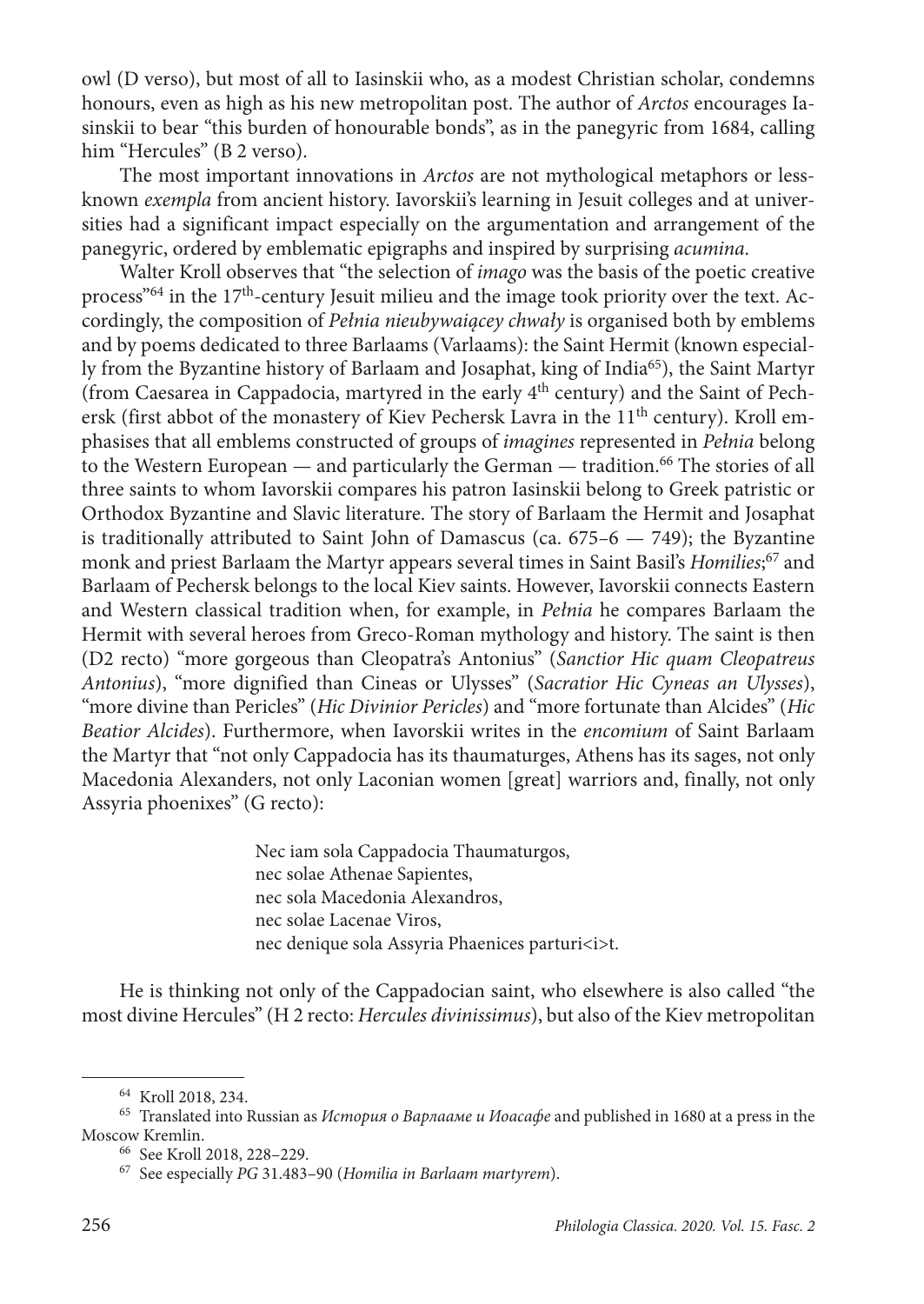owl (D verso), but most of all to Iasinskii who, as a modest Christian scholar, condemns honours, even as high as his new metropolitan post. The author of *Arctos* encourages Iasinskii to bear "this burden of honourable bonds", as in the panegyric from 1684, calling him "Hercules" (B 2 verso).

The most important innovations in *Arctos* are not mythological metaphors or lessknown *exempla* from ancient history. Iavorskii's learning in Jesuit colleges and at universities had a significant impact especially on the argumentation and arrangement of the panegyric, ordered by emblematic epigraphs and inspired by surprising *acumina*.

Walter Kroll observes that "the selection of *imago* was the basis of the poetic creative process<sup> $64$ </sup> in the 17<sup>th</sup>-century Jesuit milieu and the image took priority over the text. Accordingly, the composition of *Pełnia nieubywaiącey chwały* is organised both by emblems and by poems dedicated to three Barlaams (Varlaams): the Saint Hermit (known especially from the Byzantine history of Barlaam and Josaphat, king of India65), the Saint Martyr (from Caesarea in Cappadocia, martyred in the early  $4<sup>th</sup>$  century) and the Saint of Pechersk (first abbot of the monastery of Kiev Pechersk Lavra in the 11<sup>th</sup> century). Kroll emphasises that all emblems constructed of groups of *imagines* represented in *Pełnia* belong to the Western European — and particularly the German — tradition.<sup>66</sup> The stories of all three saints to whom Iavorskii compares his patron Iasinskii belong to Greek patristic or Orthodox Byzantine and Slavic literature. The story of Barlaam the Hermit and Josaphat is traditionally attributed to Saint John of Damascus (ca. 675*–*6 — 749); the Byzantine monk and priest Barlaam the Martyr appears several times in Saint Basil's *Homilies*; 67 and Barlaam of Pechersk belongs to the local Kiev saints. However, Iavorskii connects Eastern and Western classical tradition when, for example, in *Pełnia* he compares Barlaam the Hermit with several heroes from Greco-Roman mythology and history. The saint is then (D2 recto) "more gorgeous than Cleopatra's Antonius" (*Sanctior Hic quam Cleopatreus Antonius*), "more dignified than Cineas or Ulysses" (*Sacratior Hic Cyneas an Ulysses*), "more divine than Pericles" (*Hic Divinior Pericles*) and "more fortunate than Alcides" (*Hic Beatior Alcides*). Furthermore, when Iavorskii writes in the *encomium* of Saint Barlaam the Martyr that "not only Cappadocia has its thaumaturges, Athens has its sages, not only Macedonia Alexanders, not only Laconian women [great] warriors and, finally, not only Assyria phoenixes" (G recto):

> Nec iam sola Cappadocia Thaumaturgos, nec solae Athenae Sapientes, nec sola Macedonia Alexandros, nec solae Lacenae Viros, nec denique sola Assyria Phaenices parturi<i>t.

He is thinking not only of the Cappadocian saint, who elsewhere is also called "the most divine Hercules" (H 2 recto: *Hercules divinissimus*), but also of the Kiev metropolitan

<sup>64</sup> Kroll 2018, 234.

<sup>65</sup> Translated into Russian as *История о Варлааме и Иоасафе* and published in 1680 at a press in the Moscow Kremlin.<br><sup>66</sup> See Kroll 2018, 228–229.

<sup>&</sup>lt;sup>67</sup> See especially *PG* 31.483–90 (*Homilia in Barlaam martyrem*).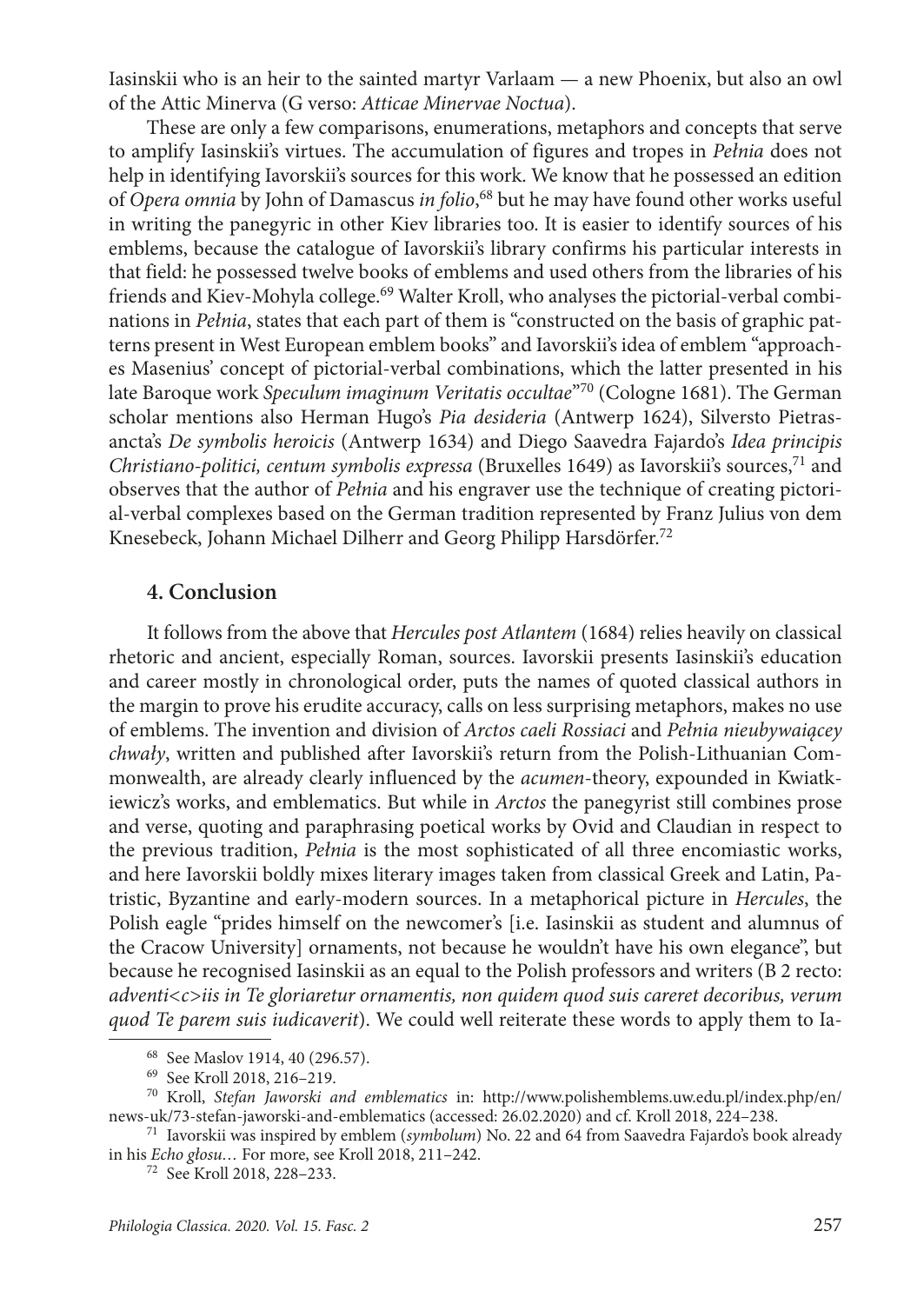Iasinskii who is an heir to the sainted martyr Varlaam — a new Phoenix, but also an owl of the Attic Minerva (G verso: *Atticae Minervae Noctua*).

These are only a few comparisons, enumerations, metaphors and concepts that serve to amplify Iasinskii's virtues. The accumulation of figures and tropes in *Pełnia* does not help in identifying Iavorskii's sources for this work. We know that he possessed an edition of *Opera omnia* by John of Damascus *in folio*, 68 but he may have found other works useful in writing the panegyric in other Kiev libraries too. It is easier to identify sources of his emblems, because the catalogue of Iavorskii's library confirms his particular interests in that field: he possessed twelve books of emblems and used others from the libraries of his friends and Kiev-Mohyla college.<sup>69</sup> Walter Kroll, who analyses the pictorial-verbal combinations in *Pełnia*, states that each part of them is "constructed on the basis of graphic patterns present in West European emblem books" and Iavorskii's idea of emblem "approaches Masenius' concept of pictorial-verbal combinations, which the latter presented in his late Baroque work *Speculum imaginum Veritatis occultae*"70 (Cologne 1681). The German scholar mentions also Herman Hugo's *Pia desideria* (Antwerp 1624), Silversto Pietrasancta's *De symbolis heroicis* (Antwerp 1634) and Diego Saavedra Fajardo's *Idea principis Christiano-politici, centum symbolis expressa* (Bruxelles 1649) as Iavorskii's sources,71 and observes that the author of *Pełnia* and his engraver use the technique of creating pictorial-verbal complexes based on the German tradition represented by Franz Julius von dem Knesebeck, Johann Michael Dilherr and Georg Philipp Harsdörfer.72

#### **4. Conclusion**

It follows from the above that *Hercules post Atlantem* (1684) relies heavily on classical rhetoric and ancient, especially Roman, sources. Iavorskii presents Iasinskii's education and career mostly in chronological order, puts the names of quoted classical authors in the margin to prove his erudite accuracy, calls on less surprising metaphors, makes no use of emblems. The invention and division of *Arctos caeli Rossiaci* and *Pełnia nieubywaiącey chwały*, written and published after Iavorskii's return from the Polish-Lithuanian Commonwealth, are already clearly influenced by the *acumen*-theory, expounded in Kwiatkiewicz's works, and emblematics. But while in *Arctos* the panegyrist still combines prose and verse, quoting and paraphrasing poetical works by Ovid and Claudian in respect to the previous tradition, *Pełnia* is the most sophisticated of all three encomiastic works, and here Iavorskii boldly mixes literary images taken from classical Greek and Latin, Patristic, Byzantine and early-modern sources. In a metaphorical picture in *Hercules*, the Polish eagle "prides himself on the newcomer's [i.e. Iasinskii as student and alumnus of the Cracow University] ornaments, not because he wouldn't have his own elegance", but because he recognised Iasinskii as an equal to the Polish professors and writers (B 2 recto: *adventi<c>iis in Te gloriaretur ornamentis, non quidem quod suis careret decoribus, verum quod Te parem suis iudicaverit*). We could well reiterate these words to apply them to Ia-

<sup>68</sup> See Maslov 1914, 40 (296.57).

<sup>69</sup> See Kroll 2018, 216–219.

<sup>70</sup> Kroll, *Stefan Jaworski and emblematics* in: [http://www.polishemblems.uw.edu.pl/index.php/en/](http://www.polishemblems.uw.edu.pl/index.php/en/news-uk/73-stefan-jaworski-and-emblematics) [news-uk/73-stefan-jaworski-and-emblematics](http://www.polishemblems.uw.edu.pl/index.php/en/news-uk/73-stefan-jaworski-and-emblematics) (accessed: 26.02.2020) and cf. Kroll 2018, 224–238.

<sup>71</sup> Iavorskii was inspired by emblem (*symbolum*) No. 22 and 64 from Saavedra Fajardo's book already in his *Echo głosu…* For more, see Kroll 2018, 211–242.

<sup>72</sup> See Kroll 2018, 228–233.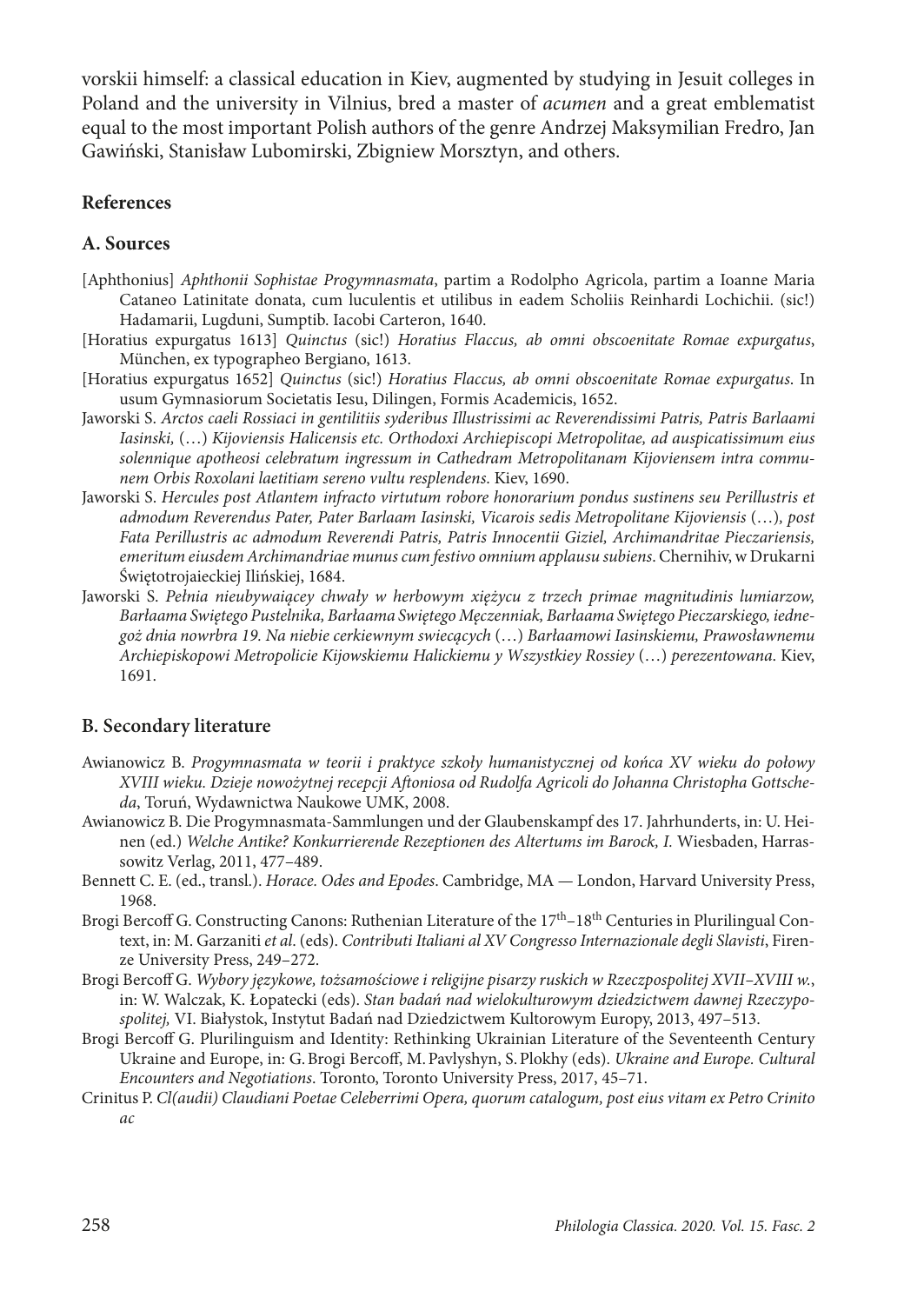vorskii himself: a classical education in Kiev, augmented by studying in Jesuit colleges in Poland and the university in Vilnius, bred a master of *acumen* and a great emblematist equal to the most important Polish authors of the genre Andrzej Maksymilian Fredro, Jan Gawiński, Stanisław Lubomirski, Zbigniew Morsztyn, and others.

### **References**

### **A. Sources**

- [Aphthonius] *Aphthonii Sophistae Progymnasmata*, partim a Rodolpho Agricola, partim a Ioanne Maria Cataneo Latinitate donata, cum luculentis et utilibus in eadem Scholiis Reinhardi Lochichii. (sic!) Hadamarii, Lugduni, Sumptib. Iacobi Carteron, 1640.
- [Horatius expurgatus 1613] *Quinctus* (sic!) *Horatius Flaccus, ab omni obscoenitate Romae expurgatus*, München, ex typographeo Bergiano, 1613.
- [Horatius expurgatus 1652] *Quinctus* (sic!) *Horatius Flaccus, ab omni obscoenitate Romae expurgatus*. In usum Gymnasiorum Societatis Iesu, Dilingen, Formis Academicis, 1652.
- Jaworski S. *Arctos caeli Rossiaci in gentilitiis syderibus Illustrissimi ac Reverendissimi Patris, Patris Barlaami Iasinski,* (…) *Kijoviensis Halicensis etc. Orthodoxi Archiepiscopi Metropolitae, ad auspicatissimum eius solennique apotheosi celebratum ingressum in Cathedram Metropolitanam Kijoviensem intra communem Orbis Roxolani laetitiam sereno vultu resplendens*. Kiev, 1690.
- Jaworski S. *Hercules post Atlantem infracto virtutum robore honorarium pondus sustinens seu Perillustris et admodum Reverendus Pater, Pater Barlaam Iasinski, Vicarois sedis Metropolitane Kijoviensis* (…)*, post Fata Perillustris ac admodum Reverendi Patris, Patris Innocentii Giziel, Archimandritae Pieczariensis, emeritum eiusdem Archimandriae munus cum festivo omnium applausu subiens*. Chernihiv, w Drukarni Świętotrojaieckiej Ilińskiej, 1684.
- Jaworski S. *Pełnia nieubywaiącey chwały w herbowym xiężycu z trzech primae magnitudinis lumiarzow, Barłaama Swiętego Pustelnika, Barłaama Swiętego Męczenniak, Barłaama Swiętego Pieczarskiego, iednegoż dnia nowrbra 19. Na niebie cerkiewnym swiecących* (…) *Barłaamowi Iasinskiemu, Prawosławnemu Archiepiskopowi Metropolicie Kijowskiemu Halickiemu y Wszystkiey Rossiey* (…) *perezentowana*. Kiev, 1691.

### **B. Secondary literature**

- Awianowicz B. *Progymnasmata w teorii i praktyce szkoły humanistycznej od końca XV wieku do połowy XVIII wieku. Dzieje nowożytnej recepcji Aftoniosa od Rudolfa Agricoli do Johanna Christopha Gottscheda*, Toruń, Wydawnictwa Naukowe UMK, 2008.
- Awianowicz B. Die Progymnasmata-Sammlungen und der Glaubenskampf des 17. Jahrhunderts, in: U. Heinen (ed.) *Welche Antike? Konkurrierende Rezeptionen des Altertums im Barock, I.* Wiesbaden, Harrassowitz Verlag, 2011, 477–489.
- Bennett C. E. (ed., transl.). *Horace. Odes and Epodes*. Cambridge, MA London, Harvard University Press, 1968.
- Brogi Bercoff G. Constructing Canons: Ruthenian Literature of the 17th–18th Centuries in Plurilingual Context, in: M. Garzaniti *et al*. (eds). *Contributi Italiani al XV Congresso Internazionale degli Slavisti*, Firenze University Press, 249–272.
- Brogi Bercoff G. *Wybory językowe, tożsamościowe i religijne pisarzy ruskich w Rzeczpospolitej XVII–XVIII w.*, in: W. Walczak, K. Łopatecki (eds). *Stan badań nad wielokulturowym dziedzictwem dawnej Rzeczypospolitej,* VI. Białystok, Instytut Badań nad Dziedzictwem Kultorowym Europy, 2013, 497–513.
- Brogi Bercoff G. Plurilinguism and Identity: Rethinking Ukrainian Literature of the Seventeenth Century Ukraine and Europe, in: G.Brogi Bercoff, M.Pavlyshyn, S.Plokhy (eds). *Ukraine and Europe. Cultural Encounters and Negotiations*. Toronto, Toronto University Press, 2017, 45–71.
- Crinitus P. *Cl(audii) Claudiani Poetae Celeberrimi Opera, quorum catalogum, post eius vitam ex Petro Crinito ac*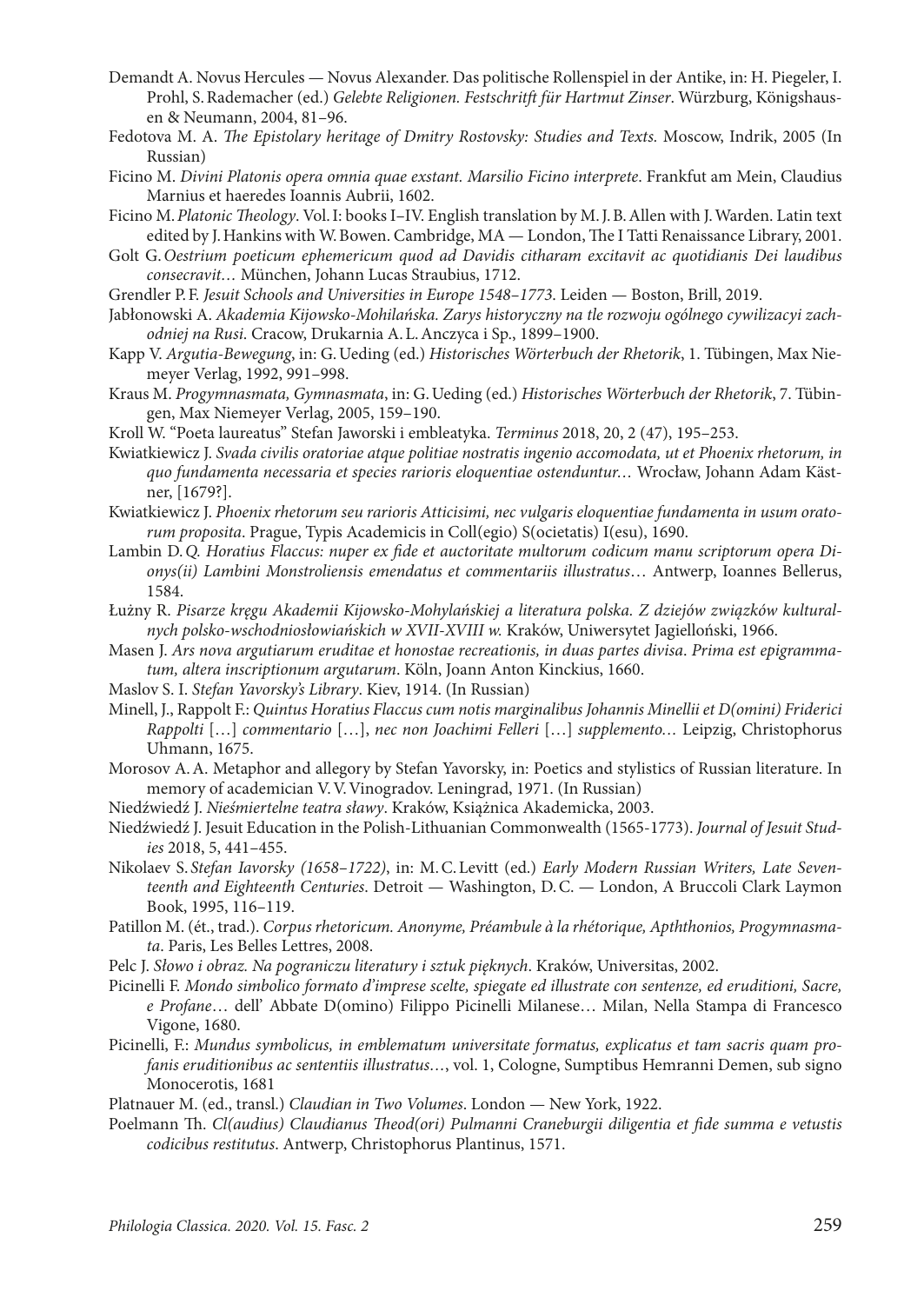- Demandt A. Novus Hercules Novus Alexander. Das politische Rollenspiel in der Antike, in: H. Piegeler, I. Prohl, S.Rademacher (ed.) *Gelebte Religionen. Festschritft für Hartmut Zinser*. Würzburg, Königshausen & Neumann, 2004, 81–96.
- Fedotova M. A. *The Epistolary heritage of Dmitry Rostovsky: Studies and Texts.* Мoscow, Indrik, 2005 (In Russian)
- Ficino M. *Divini Platonis opera omnia quae exstant. Marsilio Ficino interprete*. Frankfut am Mein, Claudius Marnius et haeredes Ioannis Aubrii, 1602.
- Ficino M.*Platonic Theology*. Vol.I: books I–IV. English translation by M.J.B.Allen with J.Warden. Latin text edited by J.Hankins with W.Bowen. Cambridge, MA — London, The I Tatti Renaissance Library, 2001.
- Golt G.*Oestrium poeticum ephemericum quod ad Davidis citharam excitavit ac quotidianis Dei laudibus consecravit…* München, Johann Lucas Straubius, 1712.
- Grendler P.F. *Jesuit Schools and Universities in Europe 1548–1773*. Leiden Boston, Brill, 2019.
- Jabłonowski A. *Akademia Kijowsko-Mohilańska. Zarys historyczny na tle rozwoju ogólnego cywilizacyi zachodniej na Rusi*. Cracow, Drukarnia A.L.Anczyca i Sp., 1899–1900.
- Kapp V. *Argutia-Bewegung*, in: G.Ueding (ed.) *Historisches Wörterbuch der Rhetorik*, 1. Tübingen, Max Niemeyer Verlag, 1992, 991–998.
- Kraus M. *Progymnasmata, Gymnasmata*, in: G.Ueding (ed.) *Historisches Wörterbuch der Rhetorik*, 7. Tübingen, Max Niemeyer Verlag, 2005, 159–190.
- Kroll W. "Poeta laureatus" Stefan Jaworski i embleatyka. *Terminus* 2018, 20, 2 (47), 195–253.
- Kwiatkiewicz J. *Svada civilis oratoriae atque politiae nostratis ingenio accomodata, ut et Phoenix rhetorum, in quo fundamenta necessaria et species rarioris eloquentiae ostenduntur…* Wrocław, Johann Adam Kästner, [1679?].
- Kwiatkiewicz J. *Phoenix rhetorum seu rarioris Atticisimi, nec vulgaris eloquentiae fundamenta in usum oratorum proposita*. Prague, Typis Academicis in Coll(egio) S(ocietatis) I(esu), 1690.
- Lambin D.*Q. Horatius Flaccus: nuper ex fide et auctoritate multorum codicum manu scriptorum opera Dionys(ii) Lambini Monstroliensis emendatus et commentariis illustratus*… Antwerp, Ioannes Bellerus, 1584.
- Łużny R. *Pisarze kręgu Akademii Kijowsko-Mohylańskiej a literatura polska. Z dziejów związków kulturalnych polsko-wschodniosłowiańskich w XVII-XVIII w.* Kraków, Uniwersytet Jagielloński, 1966.
- Masen J. *Ars nova argutiarum eruditae et honostae recreationis, in duas partes divisa*. *Prima est epigrammatum, altera inscriptionum argutarum*. Köln, Joann Anton Kinckius, 1660.
- Maslov S. I. *Stefan Yavorsky's Library*. Kiev, 1914. (In Russian)
- Minell, J., Rappolt F.: *Quintus Horatius Flaccus cum notis marginalibus Johannis Minellii et D(omini) Friderici Rappolti* […] *commentario* […], *nec non Joachimi Felleri* […] *supplemento…* Leipzig, Christophorus Uhmann, 1675.
- Morosov A.A. Metaphor and allegory by Stefan Yavorsky, in: Poetics and stylistics of Russian literature. In memory of academician V.V.Vinogradov. Leningrad, 1971. (In Russian)
- Niedźwiedź J. *Nieśmiertelne teatra sławy*. Kraków, Książnica Akademicka, 2003.
- Niedźwiedź J. Jesuit Education in the Polish-Lithuanian Commonwealth (1565-1773). *Journal of Jesuit Studies* 2018, 5, 441–455.
- Nikolaev S. *Stefan Iavorsky (1658–1722)*, in: M.C.Levitt (ed.) *Early Modern Russian Writers, Late Seventeenth and Eighteenth Centuries*. Detroit — Washington, D.C. — London, A Bruccoli Clark Laymon Book, 1995, 116–119.
- Patillon M. (ét., trad.). *Corpus rhetoricum. Anonyme, Préambule à la rhétorique, Apththonios, Progymnasmata*. Paris, Les Belles Lettres, 2008.
- Pelc J. *Słowo i obraz. Na pograniczu literatury i sztuk pięknych*. Kraków, Universitas, 2002.
- Picinelli F. *Mondo simbolico formato d'imprese scelte, spiegate ed illustrate con sentenze, ed eruditioni, Sacre, e Profane*… dell' Abbate D(omino) Filippo Picinelli Milanese… Milan, Nella Stampa di Francesco Vigone, 1680.
- Picinelli, F.: *Mundus symbolicus, in emblematum universitate formatus, explicatus et tam sacris quam profanis eruditionibus ac sententiis illustratus…*, vol. 1, Cologne, Sumptibus Hemranni Demen, sub signo Monocerotis, 1681
- Platnauer M. (ed., transl.) *Claudian in Two Volumes*. London New York, 1922.
- Poelmann Th. *Cl(audius) Claudianus Theod(ori) Pulmanni Craneburgii diligentia et fide summa e vetustis codicibus restitutus*. Antwerp, Christophorus Plantinus, 1571.